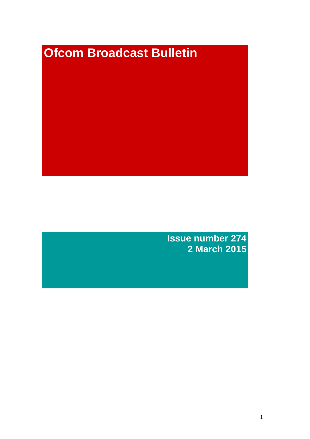# **Ofcom Broadcast Bulletin**

**Issue number 274 2 March 2015**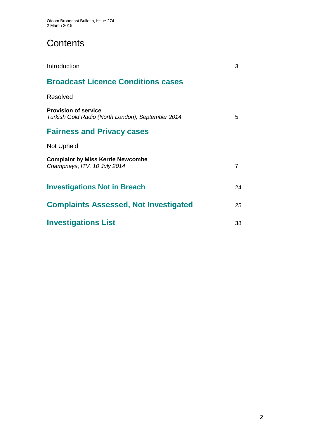# **Contents**

| Introduction                                                                     | 3              |
|----------------------------------------------------------------------------------|----------------|
| <b>Broadcast Licence Conditions cases</b>                                        |                |
| Resolved                                                                         |                |
| <b>Provision of service</b><br>Turkish Gold Radio (North London), September 2014 | 5              |
| <b>Fairness and Privacy cases</b>                                                |                |
| <b>Not Upheld</b>                                                                |                |
| <b>Complaint by Miss Kerrie Newcombe</b><br>Champneys, ITV, 10 July 2014         | $\overline{7}$ |
| <b>Investigations Not in Breach</b>                                              | 24             |
| <b>Complaints Assessed, Not Investigated</b>                                     | 25             |
| <b>Investigations List</b>                                                       | 38             |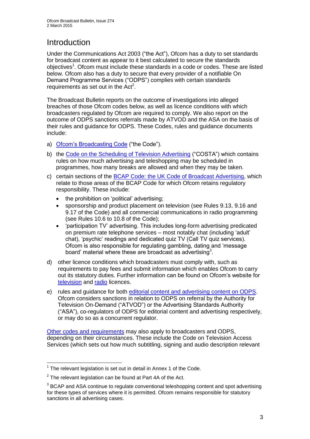# Introduction

Under the Communications Act 2003 ("the Act"), Ofcom has a duty to set standards for broadcast content as appear to it best calculated to secure the standards objectives<sup>1</sup>. Ofcom must include these standards in a code or codes. These are listed below. Ofcom also has a duty to secure that every provider of a notifiable On Demand Programme Services ("ODPS") complies with certain standards requirements as set out in the  $Act<sup>2</sup>$ .

The Broadcast Bulletin reports on the outcome of investigations into alleged breaches of those Ofcom codes below, as well as licence conditions with which broadcasters regulated by Ofcom are required to comply. We also report on the outcome of ODPS sanctions referrals made by ATVOD and the ASA on the basis of their rules and guidance for ODPS. These Codes, rules and guidance documents include:

- a) [Ofcom's Broadcasting Code](http://stakeholders.ofcom.org.uk/broadcasting/broadcast-codes/broadcast-code/) ("the Code").
- b) the [Code on the Scheduling of Television Advertising](http://stakeholders.ofcom.org.uk/broadcasting/broadcast-codes/advert-code/) ("COSTA") which contains rules on how much advertising and teleshopping may be scheduled in programmes, how many breaks are allowed and when they may be taken.
- c) certain sections of the [BCAP Code: the UK Code of Broadcast Advertising,](http://www.bcap.org.uk/Advertising-Codes/Broadcast-HTML.aspx) which relate to those areas of the BCAP Code for which Ofcom retains regulatory responsibility. These include:
	- the prohibition on 'political' advertising:
	- sponsorship and product placement on television (see Rules 9.13, 9.16 and 9.17 of the Code) and all commercial communications in radio programming (see Rules 10.6 to 10.8 of the Code);
	- 'participation TV' advertising. This includes long-form advertising predicated on premium rate telephone services – most notably chat (including 'adult' chat), 'psychic' readings and dedicated quiz TV (Call TV quiz services). Ofcom is also responsible for regulating gambling, dating and 'message board' material where these are broadcast as advertising<sup>3</sup>.
- d) other licence conditions which broadcasters must comply with, such as requirements to pay fees and submit information which enables Ofcom to carry out its statutory duties. Further information can be found on Ofcom's website for [television](http://licensing.ofcom.org.uk/tv-broadcast-licences/) and [radio](http://licensing.ofcom.org.uk/radio-broadcast-licensing/) licences.
- e) rules and guidance for both [editorial content and advertising content on ODPS.](http://www.atvod.co.uk/uploads/files/ATVOD_Rules_and_Guidance_Ed_2.0_May_2012.pdf) Ofcom considers sanctions in relation to ODPS on referral by the Authority for Television On-Demand ("ATVOD") or the Advertising Standards Authority ("ASA"), co-regulators of ODPS for editorial content and advertising respectively, or may do so as a concurrent regulator.

[Other codes and requirements](http://stakeholders.ofcom.org.uk/broadcasting/broadcast-codes/) may also apply to broadcasters and ODPS, depending on their circumstances. These include the Code on Television Access Services (which sets out how much subtitling, signing and audio description relevant

<sup>1</sup>  $1$  The relevant legislation is set out in detail in Annex 1 of the Code.

 $2$  The relevant legislation can be found at Part 4A of the Act.

 $3$  BCAP and ASA continue to regulate conventional teleshopping content and spot advertising for these types of services where it is permitted. Ofcom remains responsible for statutory sanctions in all advertising cases.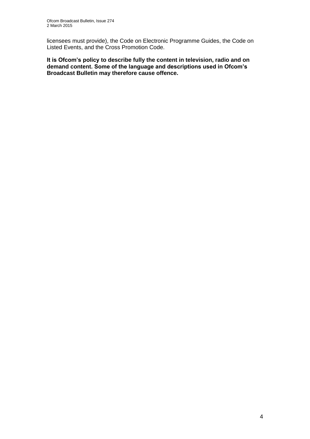licensees must provide), the Code on Electronic Programme Guides, the Code on Listed Events, and the Cross Promotion Code.

**It is Ofcom's policy to describe fully the content in television, radio and on demand content. Some of the language and descriptions used in Ofcom's Broadcast Bulletin may therefore cause offence.**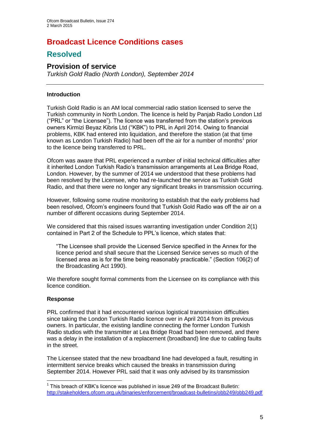# **Broadcast Licence Conditions cases**

## **Resolved**

### **Provision of service**

*Turkish Gold Radio (North London), September 2014* 

### **Introduction**

Turkish Gold Radio is an AM local commercial radio station licensed to serve the Turkish community in North London. The licence is held by Panjab Radio London Ltd ("PRL" or "the Licensee"). The licence was transferred from the station's previous owners Kirmizi Beyaz Kibris Ltd ("KBK") to PRL in April 2014. Owing to financial problems, KBK had entered into liquidation, and therefore the station (at that time known as London Turkish Radio) had been off the air for a number of months<sup>1</sup> prior to the licence being transferred to PRL.

Ofcom was aware that PRL experienced a number of initial technical difficulties after it inherited London Turkish Radio's transmission arrangements at Lea Bridge Road, London. However, by the summer of 2014 we understood that these problems had been resolved by the Licensee, who had re-launched the service as Turkish Gold Radio, and that there were no longer any significant breaks in transmission occurring.

However, following some routine monitoring to establish that the early problems had been resolved, Ofcom's engineers found that Turkish Gold Radio was off the air on a number of different occasions during September 2014.

We considered that this raised issues warranting investigation under Condition 2(1) contained in Part 2 of the Schedule to PPL's licence, which states that:

"The Licensee shall provide the Licensed Service specified in the Annex for the licence period and shall secure that the Licensed Service serves so much of the licensed area as is for the time being reasonably practicable." (Section 106(2) of the Broadcasting Act 1990).

We therefore sought formal comments from the Licensee on its compliance with this licence condition.

### **Response**

1

PRL confirmed that it had encountered various logistical transmission difficulties since taking the London Turkish Radio licence over in April 2014 from its previous owners. In particular, the existing landline connecting the former London Turkish Radio studios with the transmitter at Lea Bridge Road had been removed, and there was a delay in the installation of a replacement (broadband) line due to cabling faults in the street.

The Licensee stated that the new broadband line had developed a fault, resulting in intermittent service breaks which caused the breaks in transmission during September 2014. However PRL said that it was only advised by its transmission

 $1$  This breach of KBK's licence was published in issue 249 of the Broadcast Bulletin: <http://stakeholders.ofcom.org.uk/binaries/enforcement/broadcast-bulletins/obb249/obb249.pdf>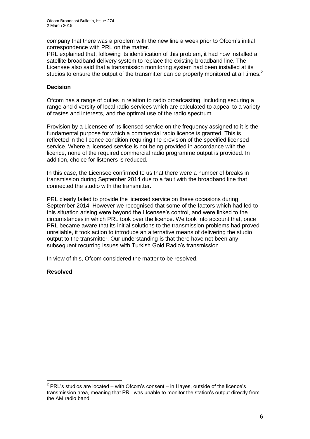company that there was a problem with the new line a week prior to Ofcom's initial correspondence with PRL on the matter.

PRL explained that, following its identification of this problem, it had now installed a satellite broadband delivery system to replace the existing broadband line. The Licensee also said that a transmission monitoring system had been installed at its studios to ensure the output of the transmitter can be properly monitored at all times.<sup>2</sup>

### **Decision**

Ofcom has a range of duties in relation to radio broadcasting, including securing a range and diversity of local radio services which are calculated to appeal to a variety of tastes and interests, and the optimal use of the radio spectrum.

Provision by a Licensee of its licensed service on the frequency assigned to it is the fundamental purpose for which a commercial radio licence is granted. This is reflected in the licence condition requiring the provision of the specified licensed service. Where a licensed service is not being provided in accordance with the licence, none of the required commercial radio programme output is provided. In addition, choice for listeners is reduced.

In this case, the Licensee confirmed to us that there were a number of breaks in transmission during September 2014 due to a fault with the broadband line that connected the studio with the transmitter.

PRL clearly failed to provide the licensed service on these occasions during September 2014. However we recognised that some of the factors which had led to this situation arising were beyond the Licensee's control, and were linked to the circumstances in which PRL took over the licence. We took into account that, once PRL became aware that its initial solutions to the transmission problems had proved unreliable, it took action to introduce an alternative means of delivering the studio output to the transmitter. Our understanding is that there have not been any subsequent recurring issues with Turkish Gold Radio's transmission.

In view of this, Ofcom considered the matter to be resolved.

### **Resolved**

1

 $2$  PRL's studios are located – with Ofcom's consent – in Hayes, outside of the licence's transmission area, meaning that PRL was unable to monitor the station's output directly from the AM radio band.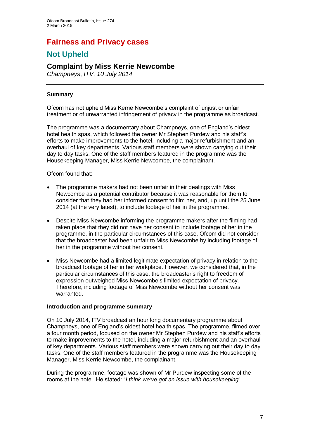# **Fairness and Privacy cases**

# **Not Upheld**

### **Complaint by Miss Kerrie Newcombe**

*Champneys*, *ITV, 10 July 2014*

### **Summary**

Ofcom has not upheld Miss Kerrie Newcombe's complaint of unjust or unfair treatment or of unwarranted infringement of privacy in the programme as broadcast.

The programme was a documentary about Champneys, one of England's oldest hotel health spas, which followed the owner Mr Stephen Purdew and his staff's efforts to make improvements to the hotel, including a major refurbishment and an overhaul of key departments. Various staff members were shown carrying out their day to day tasks. One of the staff members featured in the programme was the Housekeeping Manager, Miss Kerrie Newcombe, the complainant.

Ofcom found that:

- The programme makers had not been unfair in their dealings with Miss Newcombe as a potential contributor because it was reasonable for them to consider that they had her informed consent to film her, and, up until the 25 June 2014 (at the very latest), to include footage of her in the programme.
- Despite Miss Newcombe informing the programme makers after the filming had taken place that they did not have her consent to include footage of her in the programme, in the particular circumstances of this case, Ofcom did not consider that the broadcaster had been unfair to Miss Newcombe by including footage of her in the programme without her consent.
- Miss Newcombe had a limited legitimate expectation of privacy in relation to the broadcast footage of her in her workplace. However, we considered that, in the particular circumstances of this case, the broadcaster's right to freedom of expression outweighed Miss Newcombe's limited expectation of privacy. Therefore, including footage of Miss Newcombe without her consent was warranted.

### **Introduction and programme summary**

On 10 July 2014, ITV broadcast an hour long documentary programme about Champneys, one of England's oldest hotel health spas. The programme, filmed over a four month period, focused on the owner Mr Stephen Purdew and his staff's efforts to make improvements to the hotel, including a major refurbishment and an overhaul of key departments. Various staff members were shown carrying out their day to day tasks. One of the staff members featured in the programme was the Housekeeping Manager, Miss Kerrie Newcombe, the complainant.

During the programme, footage was shown of Mr Purdew inspecting some of the rooms at the hotel. He stated: "*I think we've got an issue with housekeeping*".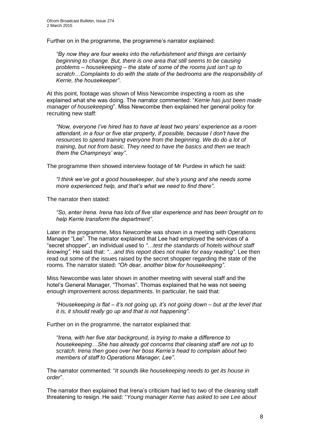Further on in the programme, the programme's narrator explained:

*"By now they are four weeks into the refurbishment and things are certainly beginning to change. But, there is one area that still seems to be causing problems – housekeeping – the state of some of the rooms just isn't up to scratch…Complaints to do with the state of the bedrooms are the responsibility of Kerrie, the housekeeper"*.

At this point, footage was shown of Miss Newcombe inspecting a room as she explained what she was doing. The narrator commented: "*Kerrie has just been made manager of housekeeping*". Miss Newcombe then explained her general policy for recruiting new staff:

*"Now, everyone I've hired has to have at least two years' experience as a room attendant, in a four or five star property, if possible, because I don't have the resources to spend training everyone from the beginning. We do do a lot of training, but not from basic. They need to have the basics and then we teach them the Champneys' way"*.

The programme then showed interview footage of Mr Purdew in which he said:

*"I think we've got a good housekeeper, but she's young and she needs some more experienced help, and that's what we need to find there"*.

The narrator then stated:

*"So, enter Irena. Irena has lots of five star experience and has been brought on to help Kerrie transform the department"*.

Later in the programme, Miss Newcombe was shown in a meeting with Operations Manager "Lee". The narrator explained that Lee had employed the services of a "secret shopper", an individual used to *"*…*test the standards of hotels without staff knowing"*. He said that: *"*…*and this report does not make for easy reading"*. Lee then read out some of the issues raised by the secret shopper regarding the state of the rooms. The narrator stated: *"Oh dear, another blow for housekeeping"*.

Miss Newcombe was later shown in another meeting with several staff and the hotel's General Manager, "Thomas". Thomas explained that he was not seeing enough improvement across departments. In particular, he said that:

*"Housekeeping is flat – it's not going up, it's not going down – but at the level that it is, it should really go up and that is not happening"*.

Further on in the programme, the narrator explained that:

*"Irena, with her five star background, is trying to make a difference to housekeeping…She has already got concerns that cleaning staff are not up to scratch. Irena then goes over her boss Kerrie's head to complain about two members of staff to Operations Manager, Lee"*.

The narrator commented: "*It sounds like housekeeping needs to get its house in order*".

The narrator then explained that Irena's criticism had led to two of the cleaning staff threatening to resign. He said: "*Young manager Kerrie has asked to see Lee about*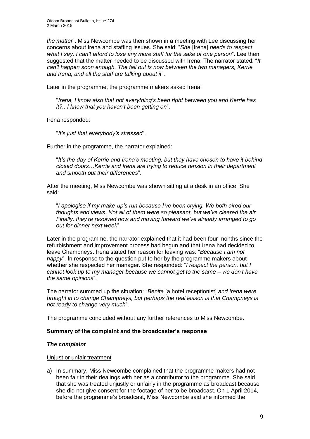*the matter*". Miss Newcombe was then shown in a meeting with Lee discussing her concerns about Irena and staffing issues. She said: "*She* [Irena] *needs to respect what I say. I can't afford to lose any more staff for the sake of one person*". Lee then suggested that the matter needed to be discussed with Irena. The narrator stated: "*It can't happen soon enough. The fall out is now between the two managers, Kerrie and Irena, and all the staff are talking about it*".

Later in the programme, the programme makers asked Irena:

"*Irena, I know also that not everything's been right between you and Kerrie has it?...I know that you haven't been getting on*".

Irena responded:

"*It's just that everybody's stressed*".

Further in the programme, the narrator explained:

"*It's the day of Kerrie and Irena's meeting, but they have chosen to have it behind closed doors…Kerrie and Irena are trying to reduce tension in their department and smooth out their differences*".

After the meeting, Miss Newcombe was shown sitting at a desk in an office. She said:

"*I apologise if my make-up's run because I've been crying. We both aired our thoughts and views. Not all of them were so pleasant, but we've cleared the air. Finally, they're resolved now and moving forward we've already arranged to go out for dinner next week*".

Later in the programme, the narrator explained that it had been four months since the refurbishment and improvement process had begun and that Irena had decided to leave Champneys. Irena stated her reason for leaving was: "*Because I am not happy*". In response to the question put to her by the programme makers about whether she respected her manager. She responded: "*I respect the person, but I cannot look up to my manager because we cannot get to the same – we don't have the same opinions*".

The narrator summed up the situation: "*Benita* [a hotel receptionist] *and Irena were brought in to change Champneys, but perhaps the real lesson is that Champneys is not ready to change very much*".

The programme concluded without any further references to Miss Newcombe.

### **Summary of the complaint and the broadcaster's response**

### *The complaint*

Unjust or unfair treatment

a) In summary, Miss Newcombe complained that the programme makers had not been fair in their dealings with her as a contributor to the programme. She said that she was treated unjustly or unfairly in the programme as broadcast because she did not give consent for the footage of her to be broadcast. On 1 April 2014, before the programme's broadcast, Miss Newcombe said she informed the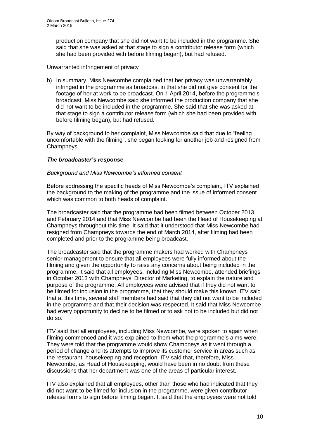production company that she did not want to be included in the programme. She said that she was asked at that stage to sign a contributor release form (which she had been provided with before filming began), but had refused.

### Unwarranted infringement of privacy

b) In summary, Miss Newcombe complained that her privacy was unwarrantably infringed in the programme as broadcast in that she did not give consent for the footage of her at work to be broadcast. On 1 April 2014, before the programme's broadcast, Miss Newcombe said she informed the production company that she did not want to be included in the programme. She said that she was asked at that stage to sign a contributor release form (which she had been provided with before filming began), but had refused.

By way of background to her complaint, Miss Newcombe said that due to "feeling uncomfortable with the filming", she began looking for another job and resigned from Champneys.

### *The broadcaster's response*

### *Background and Miss Newcombe's informed consent*

Before addressing the specific heads of Miss Newcombe's complaint, ITV explained the background to the making of the programme and the issue of informed consent which was common to both heads of complaint.

The broadcaster said that the programme had been filmed between October 2013 and February 2014 and that Miss Newcombe had been the Head of Housekeeping at Champneys throughout this time. It said that it understood that Miss Newcombe had resigned from Champneys towards the end of March 2014, after filming had been completed and prior to the programme being broadcast.

The broadcaster said that the programme makers had worked with Champneys' senior management to ensure that all employees were fully informed about the filming and given the opportunity to raise any concerns about being included in the programme. It said that all employees, including Miss Newcombe, attended briefings in October 2013 with Champneys' Director of Marketing, to explain the nature and purpose of the programme. All employees were advised that if they did not want to be filmed for inclusion in the programme, that they should make this known. ITV said that at this time, several staff members had said that they did not want to be included in the programme and that their decision was respected. It said that Miss Newcombe had every opportunity to decline to be filmed or to ask not to be included but did not do so.

ITV said that all employees, including Miss Newcombe, were spoken to again when filming commenced and it was explained to them what the programme's aims were. They were told that the programme would show Champneys as it went through a period of change and its attempts to improve its customer service in areas such as the restaurant, housekeeping and reception. ITV said that, therefore, Miss Newcombe, as Head of Housekeeping, would have been in no doubt from these discussions that her department was one of the areas of particular interest.

ITV also explained that all employees, other than those who had indicated that they did not want to be filmed for inclusion in the programme, were given contributor release forms to sign before filming began. It said that the employees were not told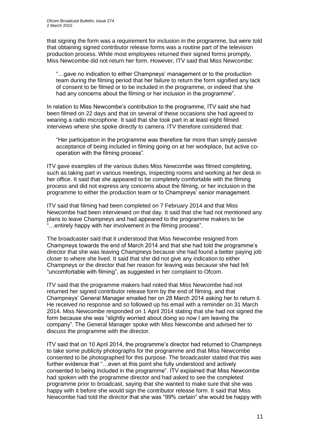that signing the form was a requirement for inclusion in the programme, but were told that obtaining signed contributor release forms was a routine part of the television production process. While most employees returned their signed forms promptly, Miss Newcombe did not return her form. However, ITV said that Miss Newcombe:

"…gave no indication to either Champneys' management or to the production team during the filming period that her failure to return the form signified any lack of consent to be filmed or to be included in the programme, or indeed that she had any concerns about the filming or her inclusion in the programme".

In relation to Miss Newcombe's contribution to the programme, ITV said she had been filmed on 22 days and that on several of these occasions she had agreed to wearing a radio microphone. It said that she took part in at least eight filmed interviews where she spoke directly to camera. ITV therefore considered that:

"Her participation in the programme was therefore far more than simply passive acceptance of being included in filming going on at her workplace, but active cooperation with the filming process".

ITV gave examples of the various duties Miss Newcombe was filmed completing, such as taking part in various meetings, inspecting rooms and working at her desk in her office. It said that she appeared to be completely comfortable with the filming process and did not express any concerns about the filming, or her inclusion in the programme to either the production team or to Champneys' senior management.

ITV said that filming had been completed on 7 February 2014 and that Miss Newcombe had been interviewed on that day. It said that she had not mentioned any plans to leave Champneys and had appeared to the programme makers to be "…entirely happy with her involvement in the filming process".

The broadcaster said that it understood that Miss Newcombe resigned from Champneys towards the end of March 2014 and that she had told the programme's director that she was leaving Champneys because she had found a better paying job closer to where she lived. It said that she did not give any indication to either Champneys or the director that her reason for leaving was because she had felt "uncomfortable with filming", as suggested in her complaint to Ofcom.

ITV said that the programme makers had noted that Miss Newcombe had not returned her signed contributor release form by the end of filming, and that Champneys' General Manager emailed her on 28 March 2014 asking her to return it. He received no response and so followed up his email with a reminder on 31 March 2014. Miss Newcombe responded on 1 April 2014 stating that she had not signed the form because she was "slightly worried about doing so now I am leaving the company". The General Manager spoke with Miss Newcombe and advised her to discuss the programme with the director.

ITV said that on 10 April 2014, the programme's director had returned to Champneys to take some publicity photographs for the programme and that Miss Newcombe consented to be photographed for this purpose. The broadcaster stated that this was further evidence that "...even at this point she fully understood and actively consented to being included in the programme". ITV explained that Miss Newcombe had spoken with the programme director and had asked to see the completed programme prior to broadcast, saying that she wanted to make sure that she was happy with it before she would sign the contributor release form. It said that Miss Newcombe had told the director that she was "99% certain" she would be happy with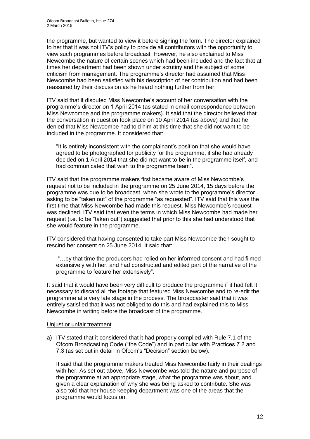the programme, but wanted to view it before signing the form. The director explained to her that it was not ITV's policy to provide all contributors with the opportunity to view such programmes before broadcast. However, he also explained to Miss Newcombe the nature of certain scenes which had been included and the fact that at times her department had been shown under scrutiny and the subject of some criticism from management. The programme's director had assumed that Miss Newcombe had been satisfied with his description of her contribution and had been reassured by their discussion as he heard nothing further from her.

ITV said that it disputed Miss Newcombe's account of her conversation with the programme's director on 1 April 2014 (as stated in email correspondence between Miss Newcombe and the programme makers). It said that the director believed that the conversation in question took place on 10 April 2014 (as above) and that he denied that Miss Newcombe had told him at this time that she did not want to be included in the programme. It considered that:

"It is entirely inconsistent with the complainant's position that she would have agreed to be photographed for publicity for the programme, if she had already decided on 1 April 2014 that she did not want to be in the programme itself, and had communicated that wish to the programme team".

ITV said that the programme makers first became aware of Miss Newcombe's request not to be included in the programme on 25 June 2014, 15 days before the programme was due to be broadcast, when she wrote to the programme's director asking to be "taken out" of the programme "as requested". ITV said that this was the first time that Miss Newcombe had made this request. Miss Newcombe's request was declined. ITV said that even the terms in which Miss Newcombe had made her request (i.e. to be "taken out") suggested that prior to this she had understood that she would feature in the programme.

ITV considered that having consented to take part Miss Newcombe then sought to rescind her consent on 25 June 2014. It said that:

"…by that time the producers had relied on her informed consent and had filmed extensively with her, and had constructed and edited part of the narrative of the programme to feature her extensively".

It said that it would have been very difficult to produce the programme if it had felt it necessary to discard all the footage that featured Miss Newcombe and to re-edit the programme at a very late stage in the process. The broadcaster said that it was entirely satisfied that it was not obliged to do this and had explained this to Miss Newcombe in writing before the broadcast of the programme.

### Unjust or unfair treatment

a) ITV stated that it considered that it had properly complied with Rule 7.1 of the Ofcom Broadcasting Code ("the Code") and in particular with Practices 7.2 and 7.3 (as set out in detail in Ofcom's "Decision" section below).

It said that the programme makers treated Miss Newcombe fairly in their dealings with her. As set out above, Miss Newcombe was told the nature and purpose of the programme at an appropriate stage, what the programme was about, and given a clear explanation of why she was being asked to contribute. She was also told that her house keeping department was one of the areas that the programme would focus on.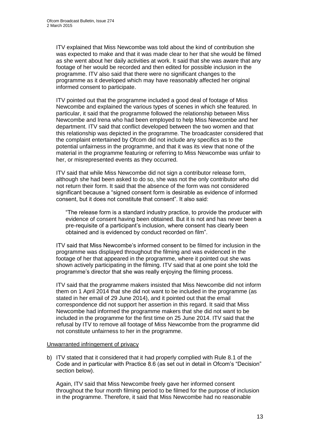ITV explained that Miss Newcombe was told about the kind of contribution she was expected to make and that it was made clear to her that she would be filmed as she went about her daily activities at work. It said that she was aware that any footage of her would be recorded and then edited for possible inclusion in the programme. ITV also said that there were no significant changes to the programme as it developed which may have reasonably affected her original informed consent to participate.

ITV pointed out that the programme included a good deal of footage of Miss Newcombe and explained the various types of scenes in which she featured. In particular, it said that the programme followed the relationship between Miss Newcombe and Irena who had been employed to help Miss Newcombe and her department. ITV said that conflict developed between the two women and that this relationship was depicted in the programme. The broadcaster considered that the complaint entertained by Ofcom did not include any specifics as to the potential unfairness in the programme, and that it was its view that none of the material in the programme featuring or referring to Miss Newcombe was unfair to her, or misrepresented events as they occurred.

ITV said that while Miss Newcombe did not sign a contributor release form, although she had been asked to do so, she was not the only contributor who did not return their form. It said that the absence of the form was not considered significant because a "signed consent form is desirable as evidence of informed consent, but it does not constitute that consent". It also said:

"The release form is a standard industry practice, to provide the producer with evidence of consent having been obtained. But it is not and has never been a pre-requisite of a participant's inclusion, where consent has clearly been obtained and is evidenced by conduct recorded on film".

ITV said that Miss Newcombe's informed consent to be filmed for inclusion in the programme was displayed throughout the filming and was evidenced in the footage of her that appeared in the programme, where it pointed out she was shown actively participating in the filming. ITV said that at one point she told the programme's director that she was really enjoying the filming process.

ITV said that the programme makers insisted that Miss Newcombe did not inform them on 1 April 2014 that she did not want to be included in the programme (as stated in her email of 29 June 2014), and it pointed out that the email correspondence did not support her assertion in this regard. It said that Miss Newcombe had informed the programme makers that she did not want to be included in the programme for the first time on 25 June 2014. ITV said that the refusal by ITV to remove all footage of Miss Newcombe from the programme did not constitute unfairness to her in the programme.

### Unwarranted infringement of privacy

b) ITV stated that it considered that it had properly complied with Rule 8.1 of the Code and in particular with Practice 8.6 (as set out in detail in Ofcom's "Decision" section below).

Again, ITV said that Miss Newcombe freely gave her informed consent throughout the four month filming period to be filmed for the purpose of inclusion in the programme. Therefore, it said that Miss Newcombe had no reasonable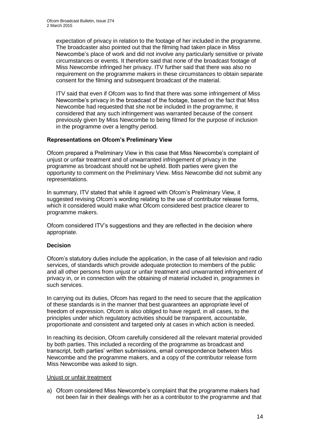expectation of privacy in relation to the footage of her included in the programme. The broadcaster also pointed out that the filming had taken place in Miss Newcombe's place of work and did not involve any particularly sensitive or private circumstances or events. It therefore said that none of the broadcast footage of Miss Newcombe infringed her privacy. ITV further said that there was also no requirement on the programme makers in these circumstances to obtain separate consent for the filming and subsequent broadcast of the material.

ITV said that even if Ofcom was to find that there was some infringement of Miss Newcombe's privacy in the broadcast of the footage, based on the fact that Miss Newcombe had requested that she not be included in the programme, it considered that any such infringement was warranted because of the consent previously given by Miss Newcombe to being filmed for the purpose of inclusion in the programme over a lengthy period.

### **Representations on Ofcom's Preliminary View**

Ofcom prepared a Preliminary View in this case that Miss Newcombe's complaint of unjust or unfair treatment and of unwarranted infringement of privacy in the programme as broadcast should not be upheld. Both parties were given the opportunity to comment on the Preliminary View. Miss Newcombe did not submit any representations.

In summary, ITV stated that while it agreed with Ofcom's Preliminary View, it suggested revising Ofcom's wording relating to the use of contributor release forms, which it considered would make what Ofcom considered best practice clearer to programme makers.

Ofcom considered ITV's suggestions and they are reflected in the decision where appropriate.

### **Decision**

Ofcom's statutory duties include the application, in the case of all television and radio services, of standards which provide adequate protection to members of the public and all other persons from unjust or unfair treatment and unwarranted infringement of privacy in, or in connection with the obtaining of material included in, programmes in such services.

In carrying out its duties, Ofcom has regard to the need to secure that the application of these standards is in the manner that best guarantees an appropriate level of freedom of expression. Ofcom is also obliged to have regard, in all cases, to the principles under which regulatory activities should be transparent, accountable, proportionate and consistent and targeted only at cases in which action is needed.

In reaching its decision, Ofcom carefully considered all the relevant material provided by both parties. This included a recording of the programme as broadcast and transcript, both parties' written submissions, email correspondence between Miss Newcombe and the programme makers, and a copy of the contributor release form Miss Newcombe was asked to sign.

### Unjust or unfair treatment

a) Ofcom considered Miss Newcombe's complaint that the programme makers had not been fair in their dealings with her as a contributor to the programme and that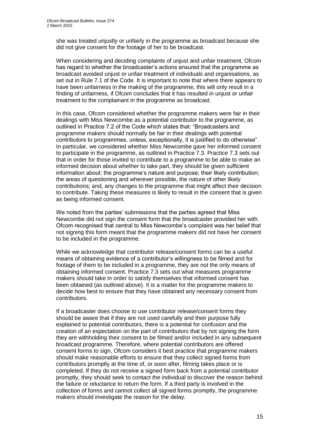she was treated unjustly or unfairly in the programme as broadcast because she did not give consent for the footage of her to be broadcast.

When considering and deciding complaints of unjust and unfair treatment, Ofcom has regard to whether the broadcaster's actions ensured that the programme as broadcast avoided unjust or unfair treatment of individuals and organisations, as set out in Rule 7.1 of the Code. It is important to note that where there appears to have been unfairness in the making of the programme, this will only result in a finding of unfairness, if Ofcom concludes that it has resulted in unjust or unfair treatment to the complainant in the programme as broadcast.

In this case, Ofcom considered whether the programme makers were fair in their dealings with Miss Newcombe as a potential contributor to the programme, as outlined in Practice 7.2 of the Code which states that: "Broadcasters and programme makers should normally be fair in their dealings with potential contributors to programmes, unless, exceptionally, it is justified to do otherwise". In particular, we considered whether Miss Newcombe gave her informed consent to participate in the programme, as outlined in Practice 7.3. Practice 7.3 sets out that in order for those invited to contribute to a programme to be able to make an informed decision about whether to take part, they should be given sufficient information about: the programme's nature and purpose; their likely contribution; the areas of questioning and wherever possible, the nature of other likely contributions; and, any changes to the programme that might affect their decision to contribute. Taking these measures is likely to result in the consent that is given as being informed consent.

We noted from the parties' submissions that the parties agreed that Miss Newcombe did not sign the consent form that the broadcaster provided her with. Ofcom recognised that central to Miss Newcombe's complaint was her belief that not signing this form meant that the programme makers did not have her consent to be included in the programme.

While we acknowledge that contributor release/consent forms can be a useful means of obtaining evidence of a contributor's willingness to be filmed and for footage of them to be included in a programme, they are not the only means of obtaining informed consent. Practice 7.3 sets out what measures programme makers should take in order to satisfy themselves that informed consent has been obtained (as outlined above). It is a matter for the programme makers to decide how best to ensure that they have obtained any necessary consent from contributors.

If a broadcaster does choose to use contributor release/consent forms they should be aware that if they are not used carefully and their purpose fully explained to potential contributors, there is a potential for confusion and the creation of an expectation on the part of contributors that by not signing the form they are withholding their consent to be filmed and/or included in any subsequent broadcast programme. Therefore, where potential contributors are offered consent forms to sign, Ofcom considers it best practice that programme makers should make reasonable efforts to ensure that they collect signed forms from contributors promptly at the time of, or soon after, filming takes place or is completed. If they do not receive a signed form back from a potential contributor promptly, they should seek to contact the individual to discover the reason behind the failure or reluctance to return the form. If a third party is involved in the collection of forms and cannot collect all signed forms promptly, the programme makers should investigate the reason for the delay.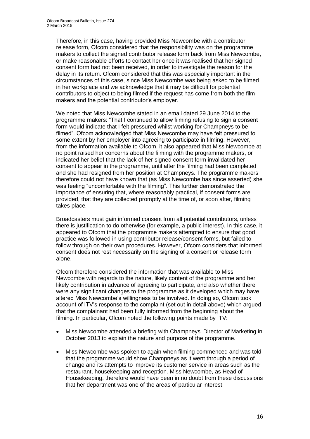Therefore, in this case, having provided Miss Newcombe with a contributor release form, Ofcom considered that the responsibility was on the programme makers to collect the signed contributor release form back from Miss Newcombe, or make reasonable efforts to contact her once it was realised that her signed consent form had not been received, in order to investigate the reason for the delay in its return. Ofcom considered that this was especially important in the circumstances of this case, since Miss Newcombe was being asked to be filmed in her workplace and we acknowledge that it may be difficult for potential contributors to object to being filmed if the request has come from both the film makers and the potential contributor's employer.

We noted that Miss Newcombe stated in an email dated 29 June 2014 to the programme makers: "That I continued to allow filming refusing to sign a consent form would indicate that I felt pressured whilst working for Champneys to be filmed". Ofcom acknowledged that Miss Newcombe may have felt pressured to some extent by her employer into agreeing to participate in filming. However, from the information available to Ofcom, it also appeared that Miss Newcombe at no point raised her concerns about the filming with the programme makers, or indicated her belief that the lack of her signed consent form invalidated her consent to appear in the programme, until after the filming had been completed and she had resigned from her position at Champneys. The programme makers therefore could not have known that (as Miss Newcombe has since asserted) she was feeling "uncomfortable with the filming". This further demonstrated the importance of ensuring that, where reasonably practical, if consent forms are provided, that they are collected promptly at the time of, or soon after, filming takes place.

Broadcasters must gain informed consent from all potential contributors, unless there is justification to do otherwise (for example, a public interest). In this case, it appeared to Ofcom that the programme makers attempted to ensure that good practice was followed in using contributor release/consent forms, but failed to follow through on their own procedures. However, Ofcom considers that informed consent does not rest necessarily on the signing of a consent or release form alone.

Ofcom therefore considered the information that was available to Miss Newcombe with regards to the nature, likely content of the programme and her likely contribution in advance of agreeing to participate, and also whether there were any significant changes to the programme as it developed which may have altered Miss Newcombe's willingness to be involved. In doing so, Ofcom took account of ITV's response to the complaint (set out in detail above) which argued that the complainant had been fully informed from the beginning about the filming. In particular, Ofcom noted the following points made by ITV:

- Miss Newcombe attended a briefing with Champneys' Director of Marketing in October 2013 to explain the nature and purpose of the programme.
- Miss Newcombe was spoken to again when filming commenced and was told that the programme would show Champneys as it went through a period of change and its attempts to improve its customer service in areas such as the restaurant, housekeeping and reception. Miss Newcombe, as Head of Housekeeping, therefore would have been in no doubt from these discussions that her department was one of the areas of particular interest.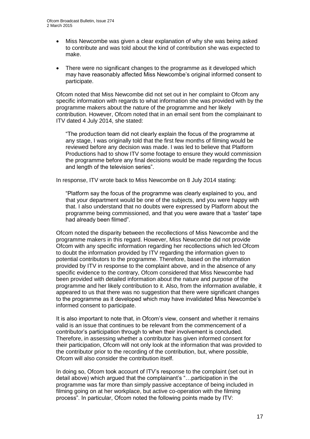- Miss Newcombe was given a clear explanation of why she was being asked to contribute and was told about the kind of contribution she was expected to make.
- There were no significant changes to the programme as it developed which may have reasonably affected Miss Newcombe's original informed consent to participate.

Ofcom noted that Miss Newcombe did not set out in her complaint to Ofcom any specific information with regards to what information she was provided with by the programme makers about the nature of the programme and her likely contribution. However, Ofcom noted that in an email sent from the complainant to ITV dated 4 July 2014, she stated:

"The production team did not clearly explain the focus of the programme at any stage, I was originally told that the first few months of filming would be reviewed before any decision was made. I was led to believe that Platform Productions had to show ITV some footage to ensure they would commission the programme before any final decisions would be made regarding the focus and length of the television series".

In response, ITV wrote back to Miss Newcombe on 8 July 2014 stating:

"Platform say the focus of the programme was clearly explained to you, and that your department would be one of the subjects, and you were happy with that. I also understand that no doubts were expressed by Platform about the programme being commissioned, and that you were aware that a 'taster' tape had already been filmed".

Ofcom noted the disparity between the recollections of Miss Newcombe and the programme makers in this regard. However, Miss Newcombe did not provide Ofcom with any specific information regarding her recollections which led Ofcom to doubt the information provided by ITV regarding the information given to potential contributors to the programme. Therefore, based on the information provided by ITV in response to the complaint above, and in the absence of any specific evidence to the contrary, Ofcom considered that Miss Newcombe had been provided with detailed information about the nature and purpose of the programme and her likely contribution to it. Also, from the information available, it appeared to us that there was no suggestion that there were significant changes to the programme as it developed which may have invalidated Miss Newcombe's informed consent to participate.

It is also important to note that, in Ofcom's view, consent and whether it remains valid is an issue that continues to be relevant from the commencement of a contributor's participation through to when their involvement is concluded. Therefore, in assessing whether a contributor has given informed consent for their participation, Ofcom will not only look at the information that was provided to the contributor prior to the recording of the contribution, but, where possible, Ofcom will also consider the contribution itself.

In doing so, Ofcom took account of ITV's response to the complaint (set out in detail above) which argued that the complainant's "…participation in the programme was far more than simply passive acceptance of being included in filming going on at her workplace, but active co-operation with the filming process". In particular, Ofcom noted the following points made by ITV: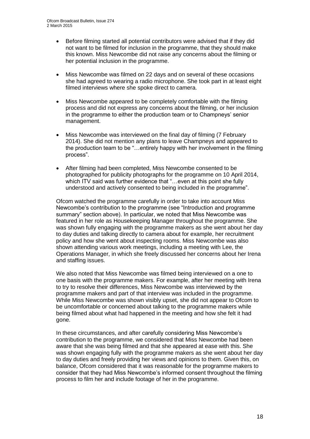- Before filming started all potential contributors were advised that if they did not want to be filmed for inclusion in the programme, that they should make this known. Miss Newcombe did not raise any concerns about the filming or her potential inclusion in the programme.
- Miss Newcombe was filmed on 22 days and on several of these occasions she had agreed to wearing a radio microphone. She took part in at least eight filmed interviews where she spoke direct to camera.
- Miss Newcombe appeared to be completely comfortable with the filming process and did not express any concerns about the filming, or her inclusion in the programme to either the production team or to Champneys' senior management.
- Miss Newcombe was interviewed on the final day of filming (7 February 2014). She did not mention any plans to leave Champneys and appeared to the production team to be "…entirely happy with her involvement in the filming process".
- After filming had been completed, Miss Newcombe consented to be photographed for publicity photographs for the programme on 10 April 2014, which ITV said was further evidence that "...even at this point she fully understood and actively consented to being included in the programme".

Ofcom watched the programme carefully in order to take into account Miss Newcombe's contribution to the programme (see "Introduction and programme summary" section above). In particular, we noted that Miss Newcombe was featured in her role as Housekeeping Manager throughout the programme. She was shown fully engaging with the programme makers as she went about her day to day duties and talking directly to camera about for example, her recruitment policy and how she went about inspecting rooms. Miss Newcombe was also shown attending various work meetings, including a meeting with Lee, the Operations Manager, in which she freely discussed her concerns about her Irena and staffing issues.

We also noted that Miss Newcombe was filmed being interviewed on a one to one basis with the programme makers. For example, after her meeting with Irena to try to resolve their differences, Miss Newcombe was interviewed by the programme makers and part of that interview was included in the programme. While Miss Newcombe was shown visibly upset, she did not appear to Ofcom to be uncomfortable or concerned about talking to the programme makers while being filmed about what had happened in the meeting and how she felt it had gone.

In these circumstances, and after carefully considering Miss Newcombe's contribution to the programme, we considered that Miss Newcombe had been aware that she was being filmed and that she appeared at ease with this. She was shown engaging fully with the programme makers as she went about her day to day duties and freely providing her views and opinions to them. Given this, on balance, Ofcom considered that it was reasonable for the programme makers to consider that they had Miss Newcombe's informed consent throughout the filming process to film her and include footage of her in the programme.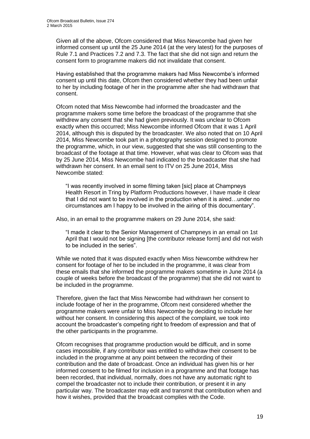Given all of the above, Ofcom considered that Miss Newcombe had given her informed consent up until the 25 June 2014 (at the very latest) for the purposes of Rule 7.1 and Practices 7.2 and 7.3. The fact that she did not sign and return the consent form to programme makers did not invalidate that consent.

Having established that the programme makers had Miss Newcombe's informed consent up until this date, Ofcom then considered whether they had been unfair to her by including footage of her in the programme after she had withdrawn that consent.

Ofcom noted that Miss Newcombe had informed the broadcaster and the programme makers some time before the broadcast of the programme that she withdrew any consent that she had given previously. It was unclear to Ofcom exactly when this occurred; Miss Newcombe informed Ofcom that it was 1 April 2014, although this is disputed by the broadcaster. We also noted that on 10 April 2014, Miss Newcombe took part in a photography session designed to promote the programme, which, in our view, suggested that she was still consenting to the broadcast of the footage at that time. However, what was clear to Ofcom was that by 25 June 2014, Miss Newcombe had indicated to the broadcaster that she had withdrawn her consent. In an email sent to ITV on 25 June 2014, Miss Newcombe stated:

"I was recently involved in some filming taken [sic] place at Champneys Health Resort in Tring by Platform Productions however, I have made it clear that I did not want to be involved in the production when it is aired…under no circumstances am I happy to be involved in the airing of this documentary".

Also, in an email to the programme makers on 29 June 2014, she said:

"I made it clear to the Senior Management of Champneys in an email on 1st April that I would not be signing [the contributor release form] and did not wish to be included in the series".

While we noted that it was disputed exactly when Miss Newcombe withdrew her consent for footage of her to be included in the programme, it was clear from these emails that she informed the programme makers sometime in June 2014 (a couple of weeks before the broadcast of the programme) that she did not want to be included in the programme.

Therefore, given the fact that Miss Newcombe had withdrawn her consent to include footage of her in the programme, Ofcom next considered whether the programme makers were unfair to Miss Newcombe by deciding to include her without her consent. In considering this aspect of the complaint, we took into account the broadcaster's competing right to freedom of expression and that of the other participants in the programme.

Ofcom recognises that programme production would be difficult, and in some cases impossible, if any contributor was entitled to withdraw their consent to be included in the programme at any point between the recording of their contribution and the date of broadcast. Once an individual has given his or her informed consent to be filmed for inclusion in a programme and that footage has been recorded, that individual, normally, does not have any automatic right to compel the broadcaster not to include their contribution, or present it in any particular way. The broadcaster may edit and transmit that contribution when and how it wishes, provided that the broadcast complies with the Code.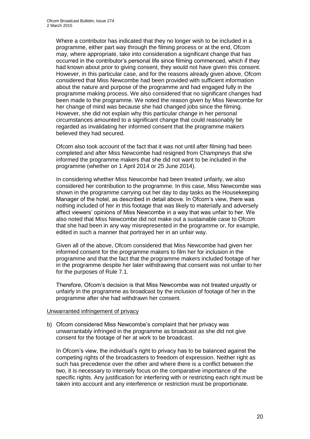Where a contributor has indicated that they no longer wish to be included in a programme, either part way through the filming process or at the end, Ofcom may, where appropriate, take into consideration a significant change that has occurred in the contributor's personal life since filming commenced, which if they had known about prior to giving consent, they would not have given this consent. However, in this particular case, and for the reasons already given above, Ofcom considered that Miss Newcombe had been provided with sufficient information about the nature and purpose of the programme and had engaged fully in the programme making process. We also considered that no significant changes had been made to the programme. We noted the reason given by Miss Newcombe for her change of mind was because she had changed jobs since the filming. However, she did not explain why this particular change in her personal circumstances amounted to a significant change that could reasonably be regarded as invalidating her informed consent that the programme makers believed they had secured.

Ofcom also took account of the fact that it was not until after filming had been completed and after Miss Newcombe had resigned from Champneys that she informed the programme makers that she did not want to be included in the programme (whether on 1 April 2014 or 25 June 2014).

In considering whether Miss Newcombe had been treated unfairly, we also considered her contribution to the programme. In this case, Miss Newcombe was shown in the programme carrying out her day to day tasks as the Housekeeping Manager of the hotel, as described in detail above. In Ofcom's view, there was nothing included of her in this footage that was likely to materially and adversely affect viewers' opinions of Miss Newcombe in a way that was unfair to her. We also noted that Miss Newcombe did not make out a sustainable case to Ofcom that she had been in any way misrepresented in the programme or, for example, edited in such a manner that portrayed her in an unfair way.

Given all of the above, Ofcom considered that Miss Newcombe had given her informed consent for the programme makers to film her for inclusion in the programme and that the fact that the programme makers included footage of her in the programme despite her later withdrawing that consent was not unfair to her for the purposes of Rule 7.1.

Therefore, Ofcom's decision is that Miss Newcombe was not treated unjustly or unfairly in the programme as broadcast by the inclusion of footage of her in the programme after she had withdrawn her consent.

### Unwarranted infringement of privacy

b) Ofcom considered Miss Newcombe's complaint that her privacy was unwarrantably infringed in the programme as broadcast as she did not give consent for the footage of her at work to be broadcast.

In Ofcom's view, the individual's right to privacy has to be balanced against the competing rights of the broadcasters to freedom of expression. Neither right as such has precedence over the other and where there is a conflict between the two, it is necessary to intensely focus on the comparative importance of the specific rights. Any justification for interfering with or restricting each right must be taken into account and any interference or restriction must be proportionate.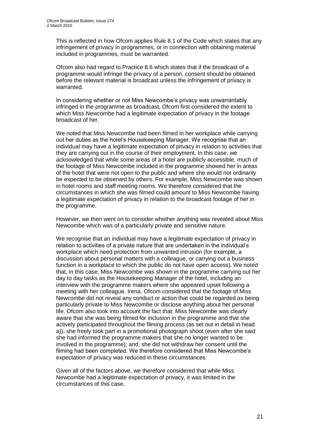This is reflected in how Ofcom applies Rule 8.1 of the Code which states that any infringement of privacy in programmes, or in connection with obtaining material included in programmes, must be warranted.

Ofcom also had regard to Practice 8.6 which states that if the broadcast of a programme would infringe the privacy of a person, consent should be obtained before the relevant material is broadcast unless the infringement of privacy is warranted.

In considering whether or not Miss Newcombe's privacy was unwarrantably infringed in the programme as broadcast, Ofcom first considered the extent to which Miss Newcombe had a legitimate expectation of privacy in the footage broadcast of her.

We noted that Miss Newcombe had been filmed in her workplace while carrying out her duties as the hotel's Housekeeping Manager. We recognise that an individual may have a legitimate expectation of privacy in relation to activities that they are carrying out in the course of their employment. In this case, we acknowledged that while some areas of a hotel are publicly accessible, much of the footage of Miss Newcombe included in the programme showed her in areas of the hotel that were not open to the public and where she would not ordinarily be expected to be observed by others. For example, Miss Newcombe was shown in hotel rooms and staff meeting rooms. We therefore considered that the circumstances in which she was filmed could amount to Miss Newcombe having a legitimate expectation of privacy in relation to the broadcast footage of her in the programme.

However, we then went on to consider whether anything was revealed about Miss Newcombe which was of a particularly private and sensitive nature.

We recognise that an individual may have a legitimate expectation of privacy in relation to activities of a private nature that are undertaken in the individual's workplace which need protection from unwanted intrusion (for example, a discussion about personal matters with a colleague, or carrying out a business function in a workplace to which the public do not have open access). We noted that, in this case, Miss Newcombe was shown in the programme carrying out her day to day tasks as the Housekeeping Manager of the hotel, including an interview with the programme makers where she appeared upset following a meeting with her colleague, Irena. Ofcom considered that the footage of Miss Newcombe did not reveal any conduct or action that could be regarded as being particularly private to Miss Newcombe or disclose anything about her personal life. Ofcom also took into account the fact that: Miss Newcombe was clearly aware that she was being filmed for inclusion in the programme and that she actively participated throughout the filming process (as set out in detail in head a)); she freely took part in a promotional photograph shoot (even after she said she had informed the programme makers that she no longer wanted to be involved in the programme); and, she did not withdraw her consent until the filming had been completed. We therefore considered that Miss Newcombe's expectation of privacy was reduced in these circumstances.

Given all of the factors above, we therefore considered that while Miss Newcombe had a legitimate expectation of privacy, it was limited in the circumstances of this case.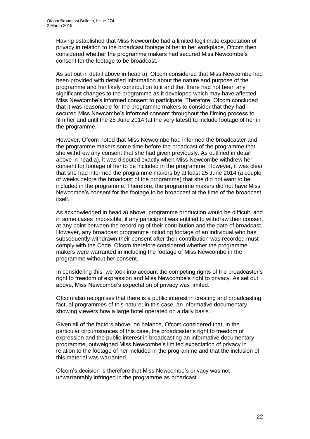Having established that Miss Newcombe had a limited legitimate expectation of privacy in relation to the broadcast footage of her in her workplace, Ofcom then considered whether the programme makers had secured Miss Newcombe's consent for the footage to be broadcast.

As set out in detail above in head a), Ofcom considered that Miss Newcombe had been provided with detailed information about the nature and purpose of the programme and her likely contribution to it and that there had not been any significant changes to the programme as it developed which may have affected Miss Newcombe's informed consent to participate. Therefore, Ofcom concluded that it was reasonable for the programme makers to consider that they had secured Miss Newcombe's informed consent throughout the filming process to film her and until the 25 June 2014 (at the very latest) to include footage of her in the programme.

However, Ofcom noted that Miss Newcombe had informed the broadcaster and the programme makers some time before the broadcast of the programme that she withdrew any consent that she had given previously. As outlined in detail above in head a), it was disputed exactly when Miss Newcombe withdrew her consent for footage of her to be included in the programme. However, it was clear that she had informed the programme makers by at least 25 June 2014 (a couple of weeks before the broadcast of the programme) that she did not want to be included in the programme. Therefore, the programme makers did not have Miss Newcombe's consent for the footage to be broadcast at the time of the broadcast itself.

As acknowledged in head a) above, programme production would be difficult, and in some cases impossible, if any participant was entitled to withdraw their consent at any point between the recording of their contribution and the date of broadcast. However, any broadcast programme including footage of an individual who has subsequently withdrawn their consent after their contribution was recorded must comply with the Code. Ofcom therefore considered whether the programme makers were warranted in including the footage of Miss Newcombe in the programme without her consent.

In considering this, we took into account the competing rights of the broadcaster's right to freedom of expression and Miss Newcombe's right to privacy. As set out above, Miss Newcombe's expectation of privacy was limited.

Ofcom also recognises that there is a public interest in creating and broadcasting factual programmes of this nature; in this case, an informative documentary showing viewers how a large hotel operated on a daily basis.

Given all of the factors above, on balance, Ofcom considered that, in the particular circumstances of this case, the broadcaster's right to freedom of expression and the public interest in broadcasting an informative documentary programme, outweighed Miss Newcombe's limited expectation of privacy in relation to the footage of her included in the programme and that the inclusion of this material was warranted.

Ofcom's decision is therefore that Miss Newcombe's privacy was not unwarrantably infringed in the programme as broadcast.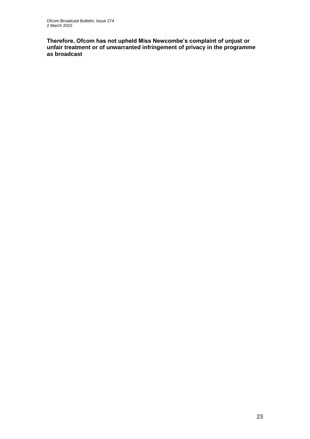**Therefore, Ofcom has not upheld Miss Newcombe's complaint of unjust or unfair treatment or of unwarranted infringement of privacy in the programme as broadcast**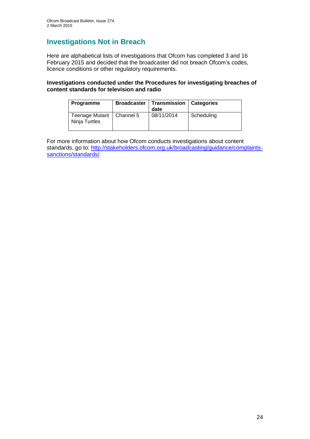# **Investigations Not in Breach**

Here are alphabetical lists of investigations that Ofcom has completed 3 and 16 February 2015 and decided that the broadcaster did not breach Ofcom's codes, licence conditions or other regulatory requirements.

### **Investigations conducted under the Procedures for investigating breaches of content standards for television and radio**

| <b>Programme</b>                            | <b>Broadcaster   Transmission   Categories</b><br>date |            |
|---------------------------------------------|--------------------------------------------------------|------------|
| Teenage Mutant   Channel 5<br>Ninja Turtles | 08/11/2014                                             | Scheduling |

For more information about how Ofcom conducts investigations about content standards, go to: [http://stakeholders.ofcom.org.uk/broadcasting/guidance/complaints](http://stakeholders.ofcom.org.uk/broadcasting/guidance/complaints-sanctions/standards/)[sanctions/standards/.](http://stakeholders.ofcom.org.uk/broadcasting/guidance/complaints-sanctions/standards/)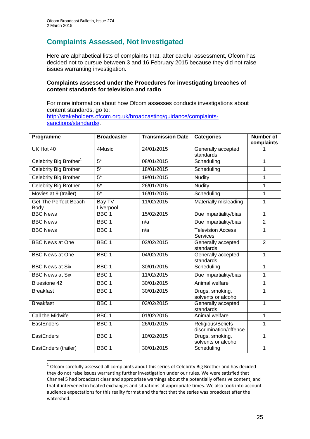1

# **Complaints Assessed, Not Investigated**

Here are alphabetical lists of complaints that, after careful assessment, Ofcom has decided not to pursue between 3 and 16 February 2015 because they did not raise issues warranting investigation.

### **Complaints assessed under the Procedures for investigating breaches of content standards for television and radio**

For more information about how Ofcom assesses conducts investigations about content standards, go to: [http://stakeholders.ofcom.org.uk/broadcasting/guidance/complaints](http://stakeholders.ofcom.org.uk/broadcasting/guidance/complaints-sanctions/standards/)[sanctions/standards/.](http://stakeholders.ofcom.org.uk/broadcasting/guidance/complaints-sanctions/standards/)

| Programme                            | <b>Broadcaster</b>  | <b>Transmission Date</b> | <b>Categories</b>                           | <b>Number of</b><br>complaints |
|--------------------------------------|---------------------|--------------------------|---------------------------------------------|--------------------------------|
| UK Hot 40                            | 4Music              | 24/01/2015               | Generally accepted<br>standards             |                                |
| Celebrity Big Brother <sup>1</sup>   | $5*$                | 08/01/2015               | Scheduling                                  | 1                              |
| Celebrity Big Brother                | $5*$                | 18/01/2015               | Scheduling                                  | 1                              |
| <b>Celebrity Big Brother</b>         | $5*$                | 19/01/2015               | <b>Nudity</b>                               | 1                              |
| <b>Celebrity Big Brother</b>         | $5*$                | 26/01/2015               | <b>Nudity</b>                               | 1                              |
| Movies at 9 (trailer)                | $5*$                | 16/01/2015               | Scheduling                                  | $\mathbf 1$                    |
| <b>Get The Perfect Beach</b><br>Body | Bay TV<br>Liverpool | 11/02/2015               | Materially misleading                       | 1                              |
| <b>BBC News</b>                      | BBC <sub>1</sub>    | 15/02/2015               | Due impartiality/bias                       | $\mathbf{1}$                   |
| <b>BBC News</b>                      | BBC <sub>1</sub>    | n/a                      | Due impartiality/bias                       | $\overline{2}$                 |
| <b>BBC News</b>                      | BBC <sub>1</sub>    | n/a                      | <b>Television Access</b><br><b>Services</b> | $\mathbf{1}$                   |
| <b>BBC News at One</b>               | BBC <sub>1</sub>    | 03/02/2015               | Generally accepted<br>standards             | $\overline{2}$                 |
| <b>BBC News at One</b>               | BBC <sub>1</sub>    | 04/02/2015               | Generally accepted<br>standards             | $\mathbf{1}$                   |
| <b>BBC News at Six</b>               | BBC <sub>1</sub>    | 30/01/2015               | Scheduling                                  | 1                              |
| <b>BBC News at Six</b>               | BBC <sub>1</sub>    | 11/02/2015               | Due impartiality/bias                       | $\mathbf{1}$                   |
| Bluestone 42                         | BBC <sub>1</sub>    | 30/01/2015               | Animal welfare                              | 1                              |
| <b>Breakfast</b>                     | BBC <sub>1</sub>    | 30/01/2015               | Drugs, smoking,<br>solvents or alcohol      | 1                              |
| <b>Breakfast</b>                     | BBC <sub>1</sub>    | 03/02/2015               | Generally accepted<br>standards             | $\mathbf{1}$                   |
| Call the Midwife                     | BBC <sub>1</sub>    | 01/02/2015               | Animal welfare                              | $\mathbf{1}$                   |
| EastEnders                           | BBC <sub>1</sub>    | 26/01/2015               | Religious/Beliefs<br>discrimination/offence | 1                              |
| EastEnders                           | BBC <sub>1</sub>    | 10/02/2015               | Drugs, smoking,<br>solvents or alcohol      | 1                              |
| EastEnders (trailer)                 | BBC <sub>1</sub>    | 30/01/2015               | Scheduling                                  | 1                              |

 $1$  Ofcom carefully assessed all complaints about this series of Celebrity Big Brother and has decided they do not raise issues warranting further investigation under our rules. We were satisfied that Channel 5 had broadcast clear and appropriate warnings about the potentially offensive content, and that it intervened in heated exchanges and situations at appropriate times. We also took into account audience expectations for this reality format and the fact that the series was broadcast after the watershed.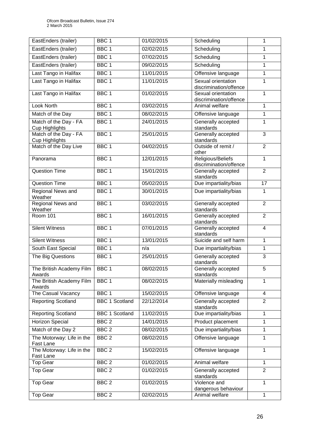| EastEnders (trailer)                           | BBC <sub>1</sub>      | 01/02/2015 | Scheduling                                   | 1                       |
|------------------------------------------------|-----------------------|------------|----------------------------------------------|-------------------------|
| EastEnders (trailer)                           | BBC <sub>1</sub>      | 02/02/2015 | Scheduling                                   | 1                       |
| EastEnders (trailer)                           | BBC <sub>1</sub>      | 07/02/2015 | Scheduling                                   | 1                       |
| EastEnders (trailer)                           | BBC <sub>1</sub>      | 09/02/2015 | Scheduling                                   | 1                       |
| Last Tango in Halifax                          | BBC <sub>1</sub>      | 11/01/2015 | Offensive language                           | 1                       |
| Last Tango in Halifax                          | BBC <sub>1</sub>      | 11/01/2015 | Sexual orientation<br>discrimination/offence | 1                       |
| Last Tango in Halifax                          | BBC <sub>1</sub>      | 01/02/2015 | Sexual orientation<br>discrimination/offence | 1                       |
| <b>Look North</b>                              | BBC <sub>1</sub>      | 03/02/2015 | Animal welfare                               | $\mathbf{1}$            |
| Match of the Day                               | BBC <sub>1</sub>      | 08/02/2015 | Offensive language                           | 1                       |
| Match of the Day - FA<br><b>Cup Highlights</b> | BBC <sub>1</sub>      | 24/01/2015 | Generally accepted<br>standards              | 1                       |
| Match of the Day - FA<br>Cup Highlights        | BBC <sub>1</sub>      | 25/01/2015 | Generally accepted<br>standards              | 3                       |
| Match of the Day Live                          | BBC <sub>1</sub>      | 04/02/2015 | Outside of remit /<br>other                  | $\overline{2}$          |
| Panorama                                       | BBC <sub>1</sub>      | 12/01/2015 | Religious/Beliefs<br>discrimination/offence  | 1                       |
| <b>Question Time</b>                           | BBC <sub>1</sub>      | 15/01/2015 | Generally accepted<br>standards              | $\overline{2}$          |
| <b>Question Time</b>                           | BBC <sub>1</sub>      | 05/02/2015 | Due impartiality/bias                        | $\overline{17}$         |
| Regional News and<br>Weather                   | BBC <sub>1</sub>      | 30/01/2015 | Due impartiality/bias                        | 1                       |
| Regional News and<br>Weather                   | BBC <sub>1</sub>      | 03/02/2015 | Generally accepted<br>standards              | $\overline{2}$          |
| <b>Room 101</b>                                | BBC <sub>1</sub>      | 16/01/2015 | Generally accepted<br>standards              | $\overline{2}$          |
| <b>Silent Witness</b>                          | BBC <sub>1</sub>      | 07/01/2015 | Generally accepted<br>standards              | $\overline{\mathbf{4}}$ |
| <b>Silent Witness</b>                          | BBC <sub>1</sub>      | 13/01/2015 | Suicide and self harm                        | $\mathbf{1}$            |
| South East Special                             | BBC <sub>1</sub>      | n/a        | Due impartiality/bias                        | $\mathbf{1}$            |
| The Big Questions                              | BBC <sub>1</sub>      | 25/01/2015 | Generally accepted<br>standards              | 3                       |
| The British Academy Film<br>Awards             | BBC <sub>1</sub>      | 08/02/2015 | Generally accepted<br>standards              | 5                       |
| The British Academy Film<br>Awards             | BBC <sub>1</sub>      | 08/02/2015 | Materially misleading                        | 1                       |
| The Casual Vacancy                             | BBC <sub>1</sub>      | 15/02/2015 | Offensive language                           | 4                       |
| <b>Reporting Scotland</b>                      | <b>BBC 1 Scotland</b> | 22/12/2014 | Generally accepted<br>standards              | $\overline{2}$          |
| <b>Reporting Scotland</b>                      | <b>BBC 1 Scotland</b> | 11/02/2015 | Due impartiality/bias                        | 1                       |
| <b>Horizon Special</b>                         | BBC <sub>2</sub>      | 14/01/2015 | Product placement                            | 1                       |
| Match of the Day 2                             | BBC <sub>2</sub>      | 08/02/2015 | Due impartiality/bias                        | $\mathbf{1}$            |
| The Motorway: Life in the<br>Fast Lane         | BBC <sub>2</sub>      | 08/02/2015 | Offensive language                           | 1                       |
| The Motorway: Life in the<br>Fast Lane         | BBC <sub>2</sub>      | 15/02/2015 | Offensive language                           | $\mathbf{1}$            |
| <b>Top Gear</b>                                | BBC <sub>2</sub>      | 01/02/2015 | Animal welfare                               | 1                       |
| <b>Top Gear</b>                                | BBC <sub>2</sub>      | 01/02/2015 | Generally accepted<br>standards              | $\overline{2}$          |
| <b>Top Gear</b>                                | BBC <sub>2</sub>      | 01/02/2015 | Violence and<br>dangerous behaviour          | 1                       |
| <b>Top Gear</b>                                | BBC <sub>2</sub>      | 02/02/2015 | Animal welfare                               | $\mathbf{1}$            |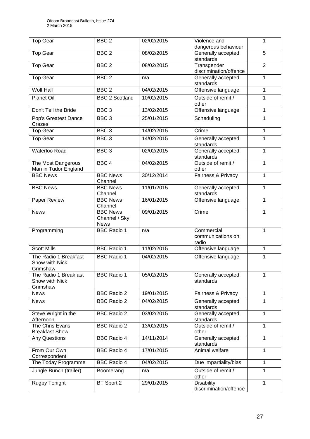| Top Gear                                            | BBC <sub>2</sub>                                | 02/02/2015 | Violence and<br>dangerous behaviour         | 1              |
|-----------------------------------------------------|-------------------------------------------------|------------|---------------------------------------------|----------------|
| Top Gear                                            | BBC <sub>2</sub>                                | 08/02/2015 | Generally accepted                          | $\overline{5}$ |
|                                                     |                                                 |            | standards                                   |                |
| <b>Top Gear</b>                                     | BBC <sub>2</sub>                                | 08/02/2015 | Transgender<br>discrimination/offence       | $\overline{2}$ |
| <b>Top Gear</b>                                     | BBC <sub>2</sub>                                | n/a        | Generally accepted<br>standards             | 1              |
| Wolf Hall                                           | BBC <sub>2</sub>                                | 04/02/2015 | Offensive language                          | 1              |
| <b>Planet Oil</b>                                   | <b>BBC 2 Scotland</b>                           | 10/02/2015 | Outside of remit /<br>other                 | 1              |
| Don't Tell the Bride                                | BBC <sub>3</sub>                                | 13/02/2015 | Offensive language                          | 1              |
| Pop's Greatest Dance<br>Crazes                      | BBC <sub>3</sub>                                | 25/01/2015 | Scheduling                                  | 1              |
| <b>Top Gear</b>                                     | BBC <sub>3</sub>                                | 14/02/2015 | Crime                                       | 1              |
| <b>Top Gear</b>                                     | BBC <sub>3</sub>                                | 14/02/2015 | Generally accepted<br>standards             | 1              |
| <b>Waterloo Road</b>                                | BBC <sub>3</sub>                                | 02/02/2015 | Generally accepted<br>standards             | $\mathbf{1}$   |
| The Most Dangerous<br>Man in Tudor England          | BBC <sub>4</sub>                                | 04/02/2015 | Outside of remit /<br>other                 | 1              |
| <b>BBC News</b>                                     | <b>BBC News</b><br>Channel                      | 30/12/2014 | Fairness & Privacy                          | 1              |
| <b>BBC News</b>                                     | <b>BBC News</b><br>Channel                      | 11/01/2015 | Generally accepted<br>standards             | 1              |
| Paper Review                                        | <b>BBC News</b><br>Channel                      | 16/01/2015 | Offensive language                          | 1              |
| <b>News</b>                                         | <b>BBC News</b><br>Channel / Sky<br><b>News</b> | 09/01/2015 | Crime                                       | 1              |
| Programming                                         | <b>BBC Radio 1</b>                              | n/a        | Commercial<br>communications on<br>radio    | 1              |
| <b>Scott Mills</b>                                  | <b>BBC Radio 1</b>                              | 11/02/2015 | Offensive language                          | 1              |
| The Radio 1 Breakfast<br>Show with Nick<br>Grimshaw | <b>BBC Radio 1</b>                              | 04/02/2015 | Offensive language                          | 1              |
| The Radio 1 Breakfast<br>Show with Nick<br>Grimshaw | <b>BBC Radio 1</b>                              | 05/02/2015 | Generally accepted<br>standards             | 1              |
| <b>News</b>                                         | <b>BBC Radio 2</b>                              | 19/01/2015 | Fairness & Privacy                          | 1              |
| <b>News</b>                                         | <b>BBC Radio 2</b>                              | 04/02/2015 | Generally accepted<br>standards             | 1              |
| Steve Wright in the<br>Afternoon                    | <b>BBC Radio 2</b>                              | 03/02/2015 | Generally accepted<br>standards             | 1              |
| The Chris Evans<br><b>Breakfast Show</b>            | <b>BBC Radio 2</b>                              | 13/02/2015 | Outside of remit /<br>other                 | 1              |
| <b>Any Questions</b>                                | <b>BBC Radio 4</b>                              | 14/11/2014 | Generally accepted<br>standards             | 1              |
| From Our Own<br>Correspondent                       | <b>BBC Radio 4</b>                              | 17/01/2015 | Animal welfare                              | 1              |
| The Today Programme                                 | <b>BBC Radio 4</b>                              | 04/02/2015 | Due impartiality/bias                       | 1              |
| Jungle Bunch (trailer)                              | Boomerang                                       | n/a        | Outside of remit /<br>other                 | 1              |
| Rugby Tonight                                       | BT Sport 2                                      | 29/01/2015 | <b>Disability</b><br>discrimination/offence | 1              |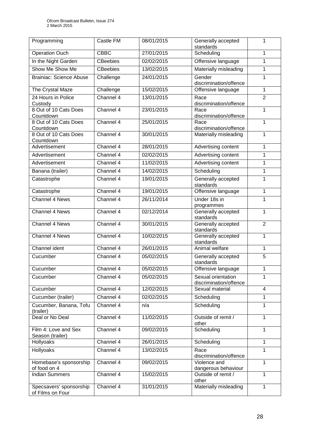| Programming                                 | Castle FM       | 08/01/2015 | Generally accepted<br>standards              | 1              |
|---------------------------------------------|-----------------|------------|----------------------------------------------|----------------|
| <b>Operation Ouch</b>                       | <b>CBBC</b>     | 27/01/2015 | Scheduling                                   | 1              |
| In the Night Garden                         | <b>CBeebies</b> | 02/02/2015 | Offensive language                           | 1              |
| Show Me Show Me                             | <b>CBeebies</b> | 13/02/2015 | Materially misleading                        | $\mathbf{1}$   |
| <b>Brainiac: Science Abuse</b>              | Challenge       | 24/01/2015 | Gender<br>discrimination/offence             | 1              |
| The Crystal Maze                            | Challenge       | 15/02/2015 | Offensive language                           | $\mathbf{1}$   |
| 24 Hours in Police<br>Custody               | Channel 4       | 13/01/2015 | Race<br>discrimination/offence               | $\overline{2}$ |
| 8 Out of 10 Cats Does<br>Countdown          | Channel 4       | 23/01/2015 | Race<br>discrimination/offence               | $\mathbf{1}$   |
| 8 Out of 10 Cats Does<br>Countdown          | Channel 4       | 25/01/2015 | Race<br>discrimination/offence               | 1              |
| 8 Out of 10 Cats Does<br>Countdown          | Channel 4       | 30/01/2015 | Materially misleading                        | $\mathbf{1}$   |
| Advertisement                               | Channel 4       | 28/01/2015 | Advertising content                          | 1              |
| Advertisement                               | Channel 4       | 02/02/2015 | Advertising content                          | 1              |
| Advertisement                               | Channel 4       | 11/02/2015 | Advertising content                          | 1              |
| Banana (trailer)                            | Channel 4       | 14/02/2015 | Scheduling                                   | $\mathbf{1}$   |
| Catastrophe                                 | Channel 4       | 19/01/2015 | Generally accepted<br>standards              | $\mathbf{1}$   |
| Catastrophe                                 | Channel 4       | 19/01/2015 | Offensive language                           | $\mathbf{1}$   |
| <b>Channel 4 News</b>                       | Channel 4       | 26/11/2014 | Under 18s in<br>programmes                   | 1              |
| Channel 4 News                              | Channel 4       | 02/12/2014 | Generally accepted<br>standards              | 1              |
| Channel 4 News                              | Channel 4       | 30/01/2015 | Generally accepted<br>standards              | $\overline{2}$ |
| <b>Channel 4 News</b>                       | Channel 4       | 10/02/2015 | Generally accepted<br>standards              | $\mathbf{1}$   |
| Channel ident                               | Channel 4       | 26/01/2015 | Animal welfare                               | $\mathbf{1}$   |
| Cucumber                                    | Channel 4       | 05/02/2015 | Generally accepted<br>standards              | 5              |
| Cucumber                                    | Channel 4       | 05/02/2015 | Offensive language                           | 1              |
| Cucumber                                    | Channel 4       | 05/02/2015 | Sexual orientation<br>discrimination/offence | 1              |
| Cucumber                                    | Channel 4       | 12/02/2015 | Sexual material                              | $\overline{4}$ |
| Cucumber (trailer)                          | Channel 4       | 02/02/2015 | Scheduling                                   | 1              |
| Cucumber, Banana, Tofu<br>(trailer)         | Channel 4       | n/a        | Scheduling                                   | $\mathbf{1}$   |
| Deal or No Deal                             | Channel 4       | 11/02/2015 | Outside of remit /<br>other                  | $\mathbf{1}$   |
| Film 4: Love and Sex<br>Season (trailer)    | Channel 4       | 09/02/2015 | Scheduling                                   | 1              |
| Hollyoaks                                   | Channel 4       | 26/01/2015 | Scheduling                                   | 1              |
| Hollyoaks                                   | Channel 4       | 13/02/2015 | Race<br>discrimination/offence               | 1              |
| Homebase's sponsorship<br>of food on 4      | Channel 4       | 09/02/2015 | Violence and<br>dangerous behaviour          | 1              |
| <b>Indian Summers</b>                       | Channel 4       | 15/02/2015 | Outside of remit /<br>other                  | 1              |
| Specsavers' sponsorship<br>of Films on Four | Channel 4       | 31/01/2015 | Materially misleading                        | 1              |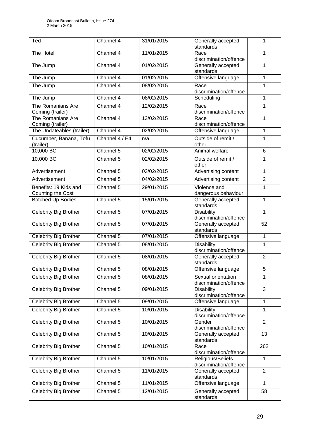| standards<br>The Hotel<br>Channel 4<br>11/01/2015<br>$\mathbf{1}$<br>Race<br>discrimination/offence<br>Channel 4<br>01/02/2015<br>The Jump<br>Generally accepted<br>1<br>standards<br>The Jump<br>Channel 4<br>01/02/2015<br>Offensive language<br>1<br>Channel 4<br>08/02/2015<br>1<br>The Jump<br>Race<br>discrimination/offence<br>The Jump<br>Channel 4<br>08/02/2015<br>1<br>Scheduling<br>1<br>The Romanians Are<br>Channel 4<br>12/02/2015<br>Race<br>discrimination/offence<br>Coming (trailer)<br>The Romanians Are<br>Channel 4<br>13/02/2015<br>1<br>Race<br>discrimination/offence<br>Coming (trailer)<br>The Undateables (trailer)<br>Channel 4<br>02/02/2015<br>$\mathbf{1}$<br>Offensive language<br>Outside of remit /<br>Cucumber, Banana, Tofu<br>Channel 4 / E4<br>n/a<br>1<br>other<br>(trailer)<br>10,000 BC<br>Channel 5<br>Animal welfare<br>02/02/2015<br>6<br>10,000BC<br>Channel 5<br>02/02/2015<br>Outside of remit /<br>1<br>other<br>Channel 5<br>Advertisement<br>03/02/2015<br>Advertising content<br>$\mathbf{1}$<br>Channel 5<br>Advertising content<br>$\overline{2}$<br>Advertisement<br>04/02/2015<br>Violence and<br>Benefits: 19 Kids and<br>Channel 5<br>29/01/2015<br>1<br>dangerous behaviour<br>Counting the Cost<br>Channel 5<br><b>Botched Up Bodies</b><br>15/01/2015<br>Generally accepted<br>$\mathbf{1}$<br>standards<br><b>Celebrity Big Brother</b><br>Channel 5<br>07/01/2015<br><b>Disability</b><br>$\mathbf{1}$<br>discrimination/offence<br><b>Celebrity Big Brother</b><br>Channel 5<br>07/01/2015<br>Generally accepted<br>52<br>standards<br>Celebrity Big Brother<br>Channel 5<br>07/01/2015<br>$\mathbf{1}$<br>Offensive language<br>Celebrity Big Brother<br>Channel 5<br><b>Disability</b><br>08/01/2015<br>1<br>discrimination/offence<br>Channel 5<br>08/01/2015<br>Generally accepted<br><b>Celebrity Big Brother</b><br>$\overline{2}$<br>standards<br>Offensive language<br>5<br><b>Celebrity Big Brother</b><br>Channel 5<br>08/01/2015<br>Celebrity Big Brother<br>08/01/2015<br>1<br>Channel 5<br>Sexual orientation<br>discrimination/offence<br><b>Celebrity Big Brother</b><br>$\overline{3}$<br>Channel 5<br>09/01/2015<br>Disability<br>discrimination/offence<br>Channel 5<br>Celebrity Big Brother<br>09/01/2015<br>Offensive language<br>1<br>Channel 5<br>$\mathbf{1}$<br>Celebrity Big Brother<br>10/01/2015<br><b>Disability</b><br>discrimination/offence<br>Celebrity Big Brother<br>Channel 5<br>10/01/2015<br>Gender<br>$\overline{2}$<br>discrimination/offence<br>Celebrity Big Brother<br>Channel 5<br>10/01/2015<br>13<br>Generally accepted<br>standards<br>Celebrity Big Brother<br>Channel 5<br>10/01/2015<br>Race<br>262<br>discrimination/offence<br><b>Celebrity Big Brother</b><br>Religious/Beliefs<br>Channel 5<br>10/01/2015<br>1<br>discrimination/offence<br><b>Celebrity Big Brother</b><br>$\overline{2}$<br>Channel 5<br>11/01/2015<br>Generally accepted<br>standards<br><b>Celebrity Big Brother</b><br>Channel 5<br>11/01/2015<br>Offensive language<br>$\mathbf{1}$<br>Celebrity Big Brother<br>Channel 5<br>12/01/2015<br>Generally accepted<br>58 | $\overline{\textsf{T}}$ ed | Channel 4 | 31/01/2015 | Generally accepted | 1 |
|-----------------------------------------------------------------------------------------------------------------------------------------------------------------------------------------------------------------------------------------------------------------------------------------------------------------------------------------------------------------------------------------------------------------------------------------------------------------------------------------------------------------------------------------------------------------------------------------------------------------------------------------------------------------------------------------------------------------------------------------------------------------------------------------------------------------------------------------------------------------------------------------------------------------------------------------------------------------------------------------------------------------------------------------------------------------------------------------------------------------------------------------------------------------------------------------------------------------------------------------------------------------------------------------------------------------------------------------------------------------------------------------------------------------------------------------------------------------------------------------------------------------------------------------------------------------------------------------------------------------------------------------------------------------------------------------------------------------------------------------------------------------------------------------------------------------------------------------------------------------------------------------------------------------------------------------------------------------------------------------------------------------------------------------------------------------------------------------------------------------------------------------------------------------------------------------------------------------------------------------------------------------------------------------------------------------------------------------------------------------------------------------------------------------------------------------------------------------------------------------------------------------------------------------------------------------------------------------------------------------------------------------------------------------------------------------------------------------------------------------------------------------------------------------------------------------------------------------------------------------------------------------------------------------------------------------------------------------------------------------------------------------------------------------------------------------------------------------------------------------------------------------------------------------|----------------------------|-----------|------------|--------------------|---|
|                                                                                                                                                                                                                                                                                                                                                                                                                                                                                                                                                                                                                                                                                                                                                                                                                                                                                                                                                                                                                                                                                                                                                                                                                                                                                                                                                                                                                                                                                                                                                                                                                                                                                                                                                                                                                                                                                                                                                                                                                                                                                                                                                                                                                                                                                                                                                                                                                                                                                                                                                                                                                                                                                                                                                                                                                                                                                                                                                                                                                                                                                                                                                                 |                            |           |            |                    |   |
|                                                                                                                                                                                                                                                                                                                                                                                                                                                                                                                                                                                                                                                                                                                                                                                                                                                                                                                                                                                                                                                                                                                                                                                                                                                                                                                                                                                                                                                                                                                                                                                                                                                                                                                                                                                                                                                                                                                                                                                                                                                                                                                                                                                                                                                                                                                                                                                                                                                                                                                                                                                                                                                                                                                                                                                                                                                                                                                                                                                                                                                                                                                                                                 |                            |           |            |                    |   |
|                                                                                                                                                                                                                                                                                                                                                                                                                                                                                                                                                                                                                                                                                                                                                                                                                                                                                                                                                                                                                                                                                                                                                                                                                                                                                                                                                                                                                                                                                                                                                                                                                                                                                                                                                                                                                                                                                                                                                                                                                                                                                                                                                                                                                                                                                                                                                                                                                                                                                                                                                                                                                                                                                                                                                                                                                                                                                                                                                                                                                                                                                                                                                                 |                            |           |            |                    |   |
|                                                                                                                                                                                                                                                                                                                                                                                                                                                                                                                                                                                                                                                                                                                                                                                                                                                                                                                                                                                                                                                                                                                                                                                                                                                                                                                                                                                                                                                                                                                                                                                                                                                                                                                                                                                                                                                                                                                                                                                                                                                                                                                                                                                                                                                                                                                                                                                                                                                                                                                                                                                                                                                                                                                                                                                                                                                                                                                                                                                                                                                                                                                                                                 |                            |           |            |                    |   |
|                                                                                                                                                                                                                                                                                                                                                                                                                                                                                                                                                                                                                                                                                                                                                                                                                                                                                                                                                                                                                                                                                                                                                                                                                                                                                                                                                                                                                                                                                                                                                                                                                                                                                                                                                                                                                                                                                                                                                                                                                                                                                                                                                                                                                                                                                                                                                                                                                                                                                                                                                                                                                                                                                                                                                                                                                                                                                                                                                                                                                                                                                                                                                                 |                            |           |            |                    |   |
|                                                                                                                                                                                                                                                                                                                                                                                                                                                                                                                                                                                                                                                                                                                                                                                                                                                                                                                                                                                                                                                                                                                                                                                                                                                                                                                                                                                                                                                                                                                                                                                                                                                                                                                                                                                                                                                                                                                                                                                                                                                                                                                                                                                                                                                                                                                                                                                                                                                                                                                                                                                                                                                                                                                                                                                                                                                                                                                                                                                                                                                                                                                                                                 |                            |           |            |                    |   |
|                                                                                                                                                                                                                                                                                                                                                                                                                                                                                                                                                                                                                                                                                                                                                                                                                                                                                                                                                                                                                                                                                                                                                                                                                                                                                                                                                                                                                                                                                                                                                                                                                                                                                                                                                                                                                                                                                                                                                                                                                                                                                                                                                                                                                                                                                                                                                                                                                                                                                                                                                                                                                                                                                                                                                                                                                                                                                                                                                                                                                                                                                                                                                                 |                            |           |            |                    |   |
|                                                                                                                                                                                                                                                                                                                                                                                                                                                                                                                                                                                                                                                                                                                                                                                                                                                                                                                                                                                                                                                                                                                                                                                                                                                                                                                                                                                                                                                                                                                                                                                                                                                                                                                                                                                                                                                                                                                                                                                                                                                                                                                                                                                                                                                                                                                                                                                                                                                                                                                                                                                                                                                                                                                                                                                                                                                                                                                                                                                                                                                                                                                                                                 |                            |           |            |                    |   |
|                                                                                                                                                                                                                                                                                                                                                                                                                                                                                                                                                                                                                                                                                                                                                                                                                                                                                                                                                                                                                                                                                                                                                                                                                                                                                                                                                                                                                                                                                                                                                                                                                                                                                                                                                                                                                                                                                                                                                                                                                                                                                                                                                                                                                                                                                                                                                                                                                                                                                                                                                                                                                                                                                                                                                                                                                                                                                                                                                                                                                                                                                                                                                                 |                            |           |            |                    |   |
|                                                                                                                                                                                                                                                                                                                                                                                                                                                                                                                                                                                                                                                                                                                                                                                                                                                                                                                                                                                                                                                                                                                                                                                                                                                                                                                                                                                                                                                                                                                                                                                                                                                                                                                                                                                                                                                                                                                                                                                                                                                                                                                                                                                                                                                                                                                                                                                                                                                                                                                                                                                                                                                                                                                                                                                                                                                                                                                                                                                                                                                                                                                                                                 |                            |           |            |                    |   |
|                                                                                                                                                                                                                                                                                                                                                                                                                                                                                                                                                                                                                                                                                                                                                                                                                                                                                                                                                                                                                                                                                                                                                                                                                                                                                                                                                                                                                                                                                                                                                                                                                                                                                                                                                                                                                                                                                                                                                                                                                                                                                                                                                                                                                                                                                                                                                                                                                                                                                                                                                                                                                                                                                                                                                                                                                                                                                                                                                                                                                                                                                                                                                                 |                            |           |            |                    |   |
|                                                                                                                                                                                                                                                                                                                                                                                                                                                                                                                                                                                                                                                                                                                                                                                                                                                                                                                                                                                                                                                                                                                                                                                                                                                                                                                                                                                                                                                                                                                                                                                                                                                                                                                                                                                                                                                                                                                                                                                                                                                                                                                                                                                                                                                                                                                                                                                                                                                                                                                                                                                                                                                                                                                                                                                                                                                                                                                                                                                                                                                                                                                                                                 |                            |           |            |                    |   |
|                                                                                                                                                                                                                                                                                                                                                                                                                                                                                                                                                                                                                                                                                                                                                                                                                                                                                                                                                                                                                                                                                                                                                                                                                                                                                                                                                                                                                                                                                                                                                                                                                                                                                                                                                                                                                                                                                                                                                                                                                                                                                                                                                                                                                                                                                                                                                                                                                                                                                                                                                                                                                                                                                                                                                                                                                                                                                                                                                                                                                                                                                                                                                                 |                            |           |            |                    |   |
|                                                                                                                                                                                                                                                                                                                                                                                                                                                                                                                                                                                                                                                                                                                                                                                                                                                                                                                                                                                                                                                                                                                                                                                                                                                                                                                                                                                                                                                                                                                                                                                                                                                                                                                                                                                                                                                                                                                                                                                                                                                                                                                                                                                                                                                                                                                                                                                                                                                                                                                                                                                                                                                                                                                                                                                                                                                                                                                                                                                                                                                                                                                                                                 |                            |           |            |                    |   |
|                                                                                                                                                                                                                                                                                                                                                                                                                                                                                                                                                                                                                                                                                                                                                                                                                                                                                                                                                                                                                                                                                                                                                                                                                                                                                                                                                                                                                                                                                                                                                                                                                                                                                                                                                                                                                                                                                                                                                                                                                                                                                                                                                                                                                                                                                                                                                                                                                                                                                                                                                                                                                                                                                                                                                                                                                                                                                                                                                                                                                                                                                                                                                                 |                            |           |            |                    |   |
|                                                                                                                                                                                                                                                                                                                                                                                                                                                                                                                                                                                                                                                                                                                                                                                                                                                                                                                                                                                                                                                                                                                                                                                                                                                                                                                                                                                                                                                                                                                                                                                                                                                                                                                                                                                                                                                                                                                                                                                                                                                                                                                                                                                                                                                                                                                                                                                                                                                                                                                                                                                                                                                                                                                                                                                                                                                                                                                                                                                                                                                                                                                                                                 |                            |           |            |                    |   |
|                                                                                                                                                                                                                                                                                                                                                                                                                                                                                                                                                                                                                                                                                                                                                                                                                                                                                                                                                                                                                                                                                                                                                                                                                                                                                                                                                                                                                                                                                                                                                                                                                                                                                                                                                                                                                                                                                                                                                                                                                                                                                                                                                                                                                                                                                                                                                                                                                                                                                                                                                                                                                                                                                                                                                                                                                                                                                                                                                                                                                                                                                                                                                                 |                            |           |            |                    |   |
|                                                                                                                                                                                                                                                                                                                                                                                                                                                                                                                                                                                                                                                                                                                                                                                                                                                                                                                                                                                                                                                                                                                                                                                                                                                                                                                                                                                                                                                                                                                                                                                                                                                                                                                                                                                                                                                                                                                                                                                                                                                                                                                                                                                                                                                                                                                                                                                                                                                                                                                                                                                                                                                                                                                                                                                                                                                                                                                                                                                                                                                                                                                                                                 |                            |           |            |                    |   |
|                                                                                                                                                                                                                                                                                                                                                                                                                                                                                                                                                                                                                                                                                                                                                                                                                                                                                                                                                                                                                                                                                                                                                                                                                                                                                                                                                                                                                                                                                                                                                                                                                                                                                                                                                                                                                                                                                                                                                                                                                                                                                                                                                                                                                                                                                                                                                                                                                                                                                                                                                                                                                                                                                                                                                                                                                                                                                                                                                                                                                                                                                                                                                                 |                            |           |            |                    |   |
|                                                                                                                                                                                                                                                                                                                                                                                                                                                                                                                                                                                                                                                                                                                                                                                                                                                                                                                                                                                                                                                                                                                                                                                                                                                                                                                                                                                                                                                                                                                                                                                                                                                                                                                                                                                                                                                                                                                                                                                                                                                                                                                                                                                                                                                                                                                                                                                                                                                                                                                                                                                                                                                                                                                                                                                                                                                                                                                                                                                                                                                                                                                                                                 |                            |           |            |                    |   |
|                                                                                                                                                                                                                                                                                                                                                                                                                                                                                                                                                                                                                                                                                                                                                                                                                                                                                                                                                                                                                                                                                                                                                                                                                                                                                                                                                                                                                                                                                                                                                                                                                                                                                                                                                                                                                                                                                                                                                                                                                                                                                                                                                                                                                                                                                                                                                                                                                                                                                                                                                                                                                                                                                                                                                                                                                                                                                                                                                                                                                                                                                                                                                                 |                            |           |            |                    |   |
|                                                                                                                                                                                                                                                                                                                                                                                                                                                                                                                                                                                                                                                                                                                                                                                                                                                                                                                                                                                                                                                                                                                                                                                                                                                                                                                                                                                                                                                                                                                                                                                                                                                                                                                                                                                                                                                                                                                                                                                                                                                                                                                                                                                                                                                                                                                                                                                                                                                                                                                                                                                                                                                                                                                                                                                                                                                                                                                                                                                                                                                                                                                                                                 |                            |           |            |                    |   |
|                                                                                                                                                                                                                                                                                                                                                                                                                                                                                                                                                                                                                                                                                                                                                                                                                                                                                                                                                                                                                                                                                                                                                                                                                                                                                                                                                                                                                                                                                                                                                                                                                                                                                                                                                                                                                                                                                                                                                                                                                                                                                                                                                                                                                                                                                                                                                                                                                                                                                                                                                                                                                                                                                                                                                                                                                                                                                                                                                                                                                                                                                                                                                                 |                            |           |            |                    |   |
|                                                                                                                                                                                                                                                                                                                                                                                                                                                                                                                                                                                                                                                                                                                                                                                                                                                                                                                                                                                                                                                                                                                                                                                                                                                                                                                                                                                                                                                                                                                                                                                                                                                                                                                                                                                                                                                                                                                                                                                                                                                                                                                                                                                                                                                                                                                                                                                                                                                                                                                                                                                                                                                                                                                                                                                                                                                                                                                                                                                                                                                                                                                                                                 |                            |           |            |                    |   |
|                                                                                                                                                                                                                                                                                                                                                                                                                                                                                                                                                                                                                                                                                                                                                                                                                                                                                                                                                                                                                                                                                                                                                                                                                                                                                                                                                                                                                                                                                                                                                                                                                                                                                                                                                                                                                                                                                                                                                                                                                                                                                                                                                                                                                                                                                                                                                                                                                                                                                                                                                                                                                                                                                                                                                                                                                                                                                                                                                                                                                                                                                                                                                                 |                            |           |            |                    |   |
|                                                                                                                                                                                                                                                                                                                                                                                                                                                                                                                                                                                                                                                                                                                                                                                                                                                                                                                                                                                                                                                                                                                                                                                                                                                                                                                                                                                                                                                                                                                                                                                                                                                                                                                                                                                                                                                                                                                                                                                                                                                                                                                                                                                                                                                                                                                                                                                                                                                                                                                                                                                                                                                                                                                                                                                                                                                                                                                                                                                                                                                                                                                                                                 |                            |           |            |                    |   |
|                                                                                                                                                                                                                                                                                                                                                                                                                                                                                                                                                                                                                                                                                                                                                                                                                                                                                                                                                                                                                                                                                                                                                                                                                                                                                                                                                                                                                                                                                                                                                                                                                                                                                                                                                                                                                                                                                                                                                                                                                                                                                                                                                                                                                                                                                                                                                                                                                                                                                                                                                                                                                                                                                                                                                                                                                                                                                                                                                                                                                                                                                                                                                                 |                            |           |            |                    |   |
|                                                                                                                                                                                                                                                                                                                                                                                                                                                                                                                                                                                                                                                                                                                                                                                                                                                                                                                                                                                                                                                                                                                                                                                                                                                                                                                                                                                                                                                                                                                                                                                                                                                                                                                                                                                                                                                                                                                                                                                                                                                                                                                                                                                                                                                                                                                                                                                                                                                                                                                                                                                                                                                                                                                                                                                                                                                                                                                                                                                                                                                                                                                                                                 |                            |           |            |                    |   |
|                                                                                                                                                                                                                                                                                                                                                                                                                                                                                                                                                                                                                                                                                                                                                                                                                                                                                                                                                                                                                                                                                                                                                                                                                                                                                                                                                                                                                                                                                                                                                                                                                                                                                                                                                                                                                                                                                                                                                                                                                                                                                                                                                                                                                                                                                                                                                                                                                                                                                                                                                                                                                                                                                                                                                                                                                                                                                                                                                                                                                                                                                                                                                                 |                            |           |            |                    |   |
|                                                                                                                                                                                                                                                                                                                                                                                                                                                                                                                                                                                                                                                                                                                                                                                                                                                                                                                                                                                                                                                                                                                                                                                                                                                                                                                                                                                                                                                                                                                                                                                                                                                                                                                                                                                                                                                                                                                                                                                                                                                                                                                                                                                                                                                                                                                                                                                                                                                                                                                                                                                                                                                                                                                                                                                                                                                                                                                                                                                                                                                                                                                                                                 |                            |           |            |                    |   |
|                                                                                                                                                                                                                                                                                                                                                                                                                                                                                                                                                                                                                                                                                                                                                                                                                                                                                                                                                                                                                                                                                                                                                                                                                                                                                                                                                                                                                                                                                                                                                                                                                                                                                                                                                                                                                                                                                                                                                                                                                                                                                                                                                                                                                                                                                                                                                                                                                                                                                                                                                                                                                                                                                                                                                                                                                                                                                                                                                                                                                                                                                                                                                                 |                            |           |            |                    |   |
|                                                                                                                                                                                                                                                                                                                                                                                                                                                                                                                                                                                                                                                                                                                                                                                                                                                                                                                                                                                                                                                                                                                                                                                                                                                                                                                                                                                                                                                                                                                                                                                                                                                                                                                                                                                                                                                                                                                                                                                                                                                                                                                                                                                                                                                                                                                                                                                                                                                                                                                                                                                                                                                                                                                                                                                                                                                                                                                                                                                                                                                                                                                                                                 |                            |           |            |                    |   |
|                                                                                                                                                                                                                                                                                                                                                                                                                                                                                                                                                                                                                                                                                                                                                                                                                                                                                                                                                                                                                                                                                                                                                                                                                                                                                                                                                                                                                                                                                                                                                                                                                                                                                                                                                                                                                                                                                                                                                                                                                                                                                                                                                                                                                                                                                                                                                                                                                                                                                                                                                                                                                                                                                                                                                                                                                                                                                                                                                                                                                                                                                                                                                                 |                            |           |            |                    |   |
|                                                                                                                                                                                                                                                                                                                                                                                                                                                                                                                                                                                                                                                                                                                                                                                                                                                                                                                                                                                                                                                                                                                                                                                                                                                                                                                                                                                                                                                                                                                                                                                                                                                                                                                                                                                                                                                                                                                                                                                                                                                                                                                                                                                                                                                                                                                                                                                                                                                                                                                                                                                                                                                                                                                                                                                                                                                                                                                                                                                                                                                                                                                                                                 |                            |           |            |                    |   |
|                                                                                                                                                                                                                                                                                                                                                                                                                                                                                                                                                                                                                                                                                                                                                                                                                                                                                                                                                                                                                                                                                                                                                                                                                                                                                                                                                                                                                                                                                                                                                                                                                                                                                                                                                                                                                                                                                                                                                                                                                                                                                                                                                                                                                                                                                                                                                                                                                                                                                                                                                                                                                                                                                                                                                                                                                                                                                                                                                                                                                                                                                                                                                                 |                            |           |            |                    |   |
|                                                                                                                                                                                                                                                                                                                                                                                                                                                                                                                                                                                                                                                                                                                                                                                                                                                                                                                                                                                                                                                                                                                                                                                                                                                                                                                                                                                                                                                                                                                                                                                                                                                                                                                                                                                                                                                                                                                                                                                                                                                                                                                                                                                                                                                                                                                                                                                                                                                                                                                                                                                                                                                                                                                                                                                                                                                                                                                                                                                                                                                                                                                                                                 |                            |           |            |                    |   |
|                                                                                                                                                                                                                                                                                                                                                                                                                                                                                                                                                                                                                                                                                                                                                                                                                                                                                                                                                                                                                                                                                                                                                                                                                                                                                                                                                                                                                                                                                                                                                                                                                                                                                                                                                                                                                                                                                                                                                                                                                                                                                                                                                                                                                                                                                                                                                                                                                                                                                                                                                                                                                                                                                                                                                                                                                                                                                                                                                                                                                                                                                                                                                                 |                            |           |            |                    |   |
|                                                                                                                                                                                                                                                                                                                                                                                                                                                                                                                                                                                                                                                                                                                                                                                                                                                                                                                                                                                                                                                                                                                                                                                                                                                                                                                                                                                                                                                                                                                                                                                                                                                                                                                                                                                                                                                                                                                                                                                                                                                                                                                                                                                                                                                                                                                                                                                                                                                                                                                                                                                                                                                                                                                                                                                                                                                                                                                                                                                                                                                                                                                                                                 |                            |           |            |                    |   |
|                                                                                                                                                                                                                                                                                                                                                                                                                                                                                                                                                                                                                                                                                                                                                                                                                                                                                                                                                                                                                                                                                                                                                                                                                                                                                                                                                                                                                                                                                                                                                                                                                                                                                                                                                                                                                                                                                                                                                                                                                                                                                                                                                                                                                                                                                                                                                                                                                                                                                                                                                                                                                                                                                                                                                                                                                                                                                                                                                                                                                                                                                                                                                                 |                            |           |            |                    |   |
|                                                                                                                                                                                                                                                                                                                                                                                                                                                                                                                                                                                                                                                                                                                                                                                                                                                                                                                                                                                                                                                                                                                                                                                                                                                                                                                                                                                                                                                                                                                                                                                                                                                                                                                                                                                                                                                                                                                                                                                                                                                                                                                                                                                                                                                                                                                                                                                                                                                                                                                                                                                                                                                                                                                                                                                                                                                                                                                                                                                                                                                                                                                                                                 |                            |           |            |                    |   |
|                                                                                                                                                                                                                                                                                                                                                                                                                                                                                                                                                                                                                                                                                                                                                                                                                                                                                                                                                                                                                                                                                                                                                                                                                                                                                                                                                                                                                                                                                                                                                                                                                                                                                                                                                                                                                                                                                                                                                                                                                                                                                                                                                                                                                                                                                                                                                                                                                                                                                                                                                                                                                                                                                                                                                                                                                                                                                                                                                                                                                                                                                                                                                                 |                            |           |            |                    |   |
|                                                                                                                                                                                                                                                                                                                                                                                                                                                                                                                                                                                                                                                                                                                                                                                                                                                                                                                                                                                                                                                                                                                                                                                                                                                                                                                                                                                                                                                                                                                                                                                                                                                                                                                                                                                                                                                                                                                                                                                                                                                                                                                                                                                                                                                                                                                                                                                                                                                                                                                                                                                                                                                                                                                                                                                                                                                                                                                                                                                                                                                                                                                                                                 |                            |           |            |                    |   |
|                                                                                                                                                                                                                                                                                                                                                                                                                                                                                                                                                                                                                                                                                                                                                                                                                                                                                                                                                                                                                                                                                                                                                                                                                                                                                                                                                                                                                                                                                                                                                                                                                                                                                                                                                                                                                                                                                                                                                                                                                                                                                                                                                                                                                                                                                                                                                                                                                                                                                                                                                                                                                                                                                                                                                                                                                                                                                                                                                                                                                                                                                                                                                                 |                            |           |            |                    |   |
|                                                                                                                                                                                                                                                                                                                                                                                                                                                                                                                                                                                                                                                                                                                                                                                                                                                                                                                                                                                                                                                                                                                                                                                                                                                                                                                                                                                                                                                                                                                                                                                                                                                                                                                                                                                                                                                                                                                                                                                                                                                                                                                                                                                                                                                                                                                                                                                                                                                                                                                                                                                                                                                                                                                                                                                                                                                                                                                                                                                                                                                                                                                                                                 |                            |           |            |                    |   |
|                                                                                                                                                                                                                                                                                                                                                                                                                                                                                                                                                                                                                                                                                                                                                                                                                                                                                                                                                                                                                                                                                                                                                                                                                                                                                                                                                                                                                                                                                                                                                                                                                                                                                                                                                                                                                                                                                                                                                                                                                                                                                                                                                                                                                                                                                                                                                                                                                                                                                                                                                                                                                                                                                                                                                                                                                                                                                                                                                                                                                                                                                                                                                                 |                            |           |            |                    |   |
|                                                                                                                                                                                                                                                                                                                                                                                                                                                                                                                                                                                                                                                                                                                                                                                                                                                                                                                                                                                                                                                                                                                                                                                                                                                                                                                                                                                                                                                                                                                                                                                                                                                                                                                                                                                                                                                                                                                                                                                                                                                                                                                                                                                                                                                                                                                                                                                                                                                                                                                                                                                                                                                                                                                                                                                                                                                                                                                                                                                                                                                                                                                                                                 |                            |           |            |                    |   |
|                                                                                                                                                                                                                                                                                                                                                                                                                                                                                                                                                                                                                                                                                                                                                                                                                                                                                                                                                                                                                                                                                                                                                                                                                                                                                                                                                                                                                                                                                                                                                                                                                                                                                                                                                                                                                                                                                                                                                                                                                                                                                                                                                                                                                                                                                                                                                                                                                                                                                                                                                                                                                                                                                                                                                                                                                                                                                                                                                                                                                                                                                                                                                                 |                            |           |            |                    |   |
|                                                                                                                                                                                                                                                                                                                                                                                                                                                                                                                                                                                                                                                                                                                                                                                                                                                                                                                                                                                                                                                                                                                                                                                                                                                                                                                                                                                                                                                                                                                                                                                                                                                                                                                                                                                                                                                                                                                                                                                                                                                                                                                                                                                                                                                                                                                                                                                                                                                                                                                                                                                                                                                                                                                                                                                                                                                                                                                                                                                                                                                                                                                                                                 |                            |           |            |                    |   |
|                                                                                                                                                                                                                                                                                                                                                                                                                                                                                                                                                                                                                                                                                                                                                                                                                                                                                                                                                                                                                                                                                                                                                                                                                                                                                                                                                                                                                                                                                                                                                                                                                                                                                                                                                                                                                                                                                                                                                                                                                                                                                                                                                                                                                                                                                                                                                                                                                                                                                                                                                                                                                                                                                                                                                                                                                                                                                                                                                                                                                                                                                                                                                                 |                            |           |            |                    |   |
|                                                                                                                                                                                                                                                                                                                                                                                                                                                                                                                                                                                                                                                                                                                                                                                                                                                                                                                                                                                                                                                                                                                                                                                                                                                                                                                                                                                                                                                                                                                                                                                                                                                                                                                                                                                                                                                                                                                                                                                                                                                                                                                                                                                                                                                                                                                                                                                                                                                                                                                                                                                                                                                                                                                                                                                                                                                                                                                                                                                                                                                                                                                                                                 |                            |           |            |                    |   |
|                                                                                                                                                                                                                                                                                                                                                                                                                                                                                                                                                                                                                                                                                                                                                                                                                                                                                                                                                                                                                                                                                                                                                                                                                                                                                                                                                                                                                                                                                                                                                                                                                                                                                                                                                                                                                                                                                                                                                                                                                                                                                                                                                                                                                                                                                                                                                                                                                                                                                                                                                                                                                                                                                                                                                                                                                                                                                                                                                                                                                                                                                                                                                                 |                            |           |            |                    |   |
|                                                                                                                                                                                                                                                                                                                                                                                                                                                                                                                                                                                                                                                                                                                                                                                                                                                                                                                                                                                                                                                                                                                                                                                                                                                                                                                                                                                                                                                                                                                                                                                                                                                                                                                                                                                                                                                                                                                                                                                                                                                                                                                                                                                                                                                                                                                                                                                                                                                                                                                                                                                                                                                                                                                                                                                                                                                                                                                                                                                                                                                                                                                                                                 |                            |           |            |                    |   |
|                                                                                                                                                                                                                                                                                                                                                                                                                                                                                                                                                                                                                                                                                                                                                                                                                                                                                                                                                                                                                                                                                                                                                                                                                                                                                                                                                                                                                                                                                                                                                                                                                                                                                                                                                                                                                                                                                                                                                                                                                                                                                                                                                                                                                                                                                                                                                                                                                                                                                                                                                                                                                                                                                                                                                                                                                                                                                                                                                                                                                                                                                                                                                                 |                            |           |            |                    |   |
|                                                                                                                                                                                                                                                                                                                                                                                                                                                                                                                                                                                                                                                                                                                                                                                                                                                                                                                                                                                                                                                                                                                                                                                                                                                                                                                                                                                                                                                                                                                                                                                                                                                                                                                                                                                                                                                                                                                                                                                                                                                                                                                                                                                                                                                                                                                                                                                                                                                                                                                                                                                                                                                                                                                                                                                                                                                                                                                                                                                                                                                                                                                                                                 |                            |           |            | standards          |   |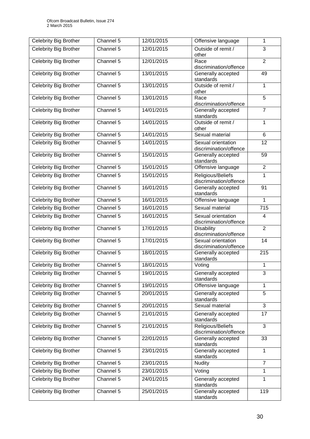| <b>Celebrity Big Brother</b> | Channel 5 | 12/01/2015 | Offensive language                           | 1                |
|------------------------------|-----------|------------|----------------------------------------------|------------------|
| <b>Celebrity Big Brother</b> | Channel 5 | 12/01/2015 | Outside of remit /<br>other                  | 3                |
| Celebrity Big Brother        | Channel 5 | 12/01/2015 | Race<br>discrimination/offence               | $\overline{2}$   |
| Celebrity Big Brother        | Channel 5 | 13/01/2015 | Generally accepted<br>standards              | 49               |
| Celebrity Big Brother        | Channel 5 | 13/01/2015 | Outside of remit /<br>other                  | 1                |
| Celebrity Big Brother        | Channel 5 | 13/01/2015 | Race<br>discrimination/offence               | $\overline{5}$   |
| Celebrity Big Brother        | Channel 5 | 14/01/2015 | Generally accepted<br>standards              | $\overline{7}$   |
| Celebrity Big Brother        | Channel 5 | 14/01/2015 | Outside of remit /<br>other                  | $\mathbf{1}$     |
| Celebrity Big Brother        | Channel 5 | 14/01/2015 | Sexual material                              | 6                |
| Celebrity Big Brother        | Channel 5 | 14/01/2015 | Sexual orientation<br>discrimination/offence | 12               |
| Celebrity Big Brother        | Channel 5 | 15/01/2015 | Generally accepted<br>standards              | 59               |
| Celebrity Big Brother        | Channel 5 | 15/01/2015 | Offensive language                           | $\overline{2}$   |
| <b>Celebrity Big Brother</b> | Channel 5 | 15/01/2015 | Religious/Beliefs<br>discrimination/offence  | 1                |
| Celebrity Big Brother        | Channel 5 | 16/01/2015 | Generally accepted<br>standards              | 91               |
| <b>Celebrity Big Brother</b> | Channel 5 | 16/01/2015 | Offensive language                           | 1                |
| <b>Celebrity Big Brother</b> | Channel 5 | 16/01/2015 | Sexual material                              | $\overline{715}$ |
| Celebrity Big Brother        | Channel 5 | 16/01/2015 | Sexual orientation<br>discrimination/offence | 4                |
| Celebrity Big Brother        | Channel 5 | 17/01/2015 | <b>Disability</b><br>discrimination/offence  | $\overline{2}$   |
| <b>Celebrity Big Brother</b> | Channel 5 | 17/01/2015 | Sexual orientation<br>discrimination/offence | 14               |
| <b>Celebrity Big Brother</b> | Channel 5 | 18/01/2015 | Generally accepted<br>standards              | 215              |
| Celebrity Big Brother        | Channel 5 | 18/01/2015 | Voting                                       | 1                |
| <b>Celebrity Big Brother</b> | Channel 5 | 19/01/2015 | Generally accepted<br>standards              | 3                |
| Celebrity Big Brother        | Channel 5 | 19/01/2015 | Offensive language                           | $\mathbf{1}$     |
| Celebrity Big Brother        | Channel 5 | 20/01/2015 | Generally accepted<br>standards              | 5                |
| <b>Celebrity Big Brother</b> | Channel 5 | 20/01/2015 | Sexual material                              | $\overline{3}$   |
| Celebrity Big Brother        | Channel 5 | 21/01/2015 | Generally accepted<br>standards              | 17               |
| <b>Celebrity Big Brother</b> | Channel 5 | 21/01/2015 | Religious/Beliefs<br>discrimination/offence  | $\overline{3}$   |
| Celebrity Big Brother        | Channel 5 | 22/01/2015 | Generally accepted<br>standards              | 33               |
| Celebrity Big Brother        | Channel 5 | 23/01/2015 | Generally accepted<br>standards              | 1                |
| Celebrity Big Brother        | Channel 5 | 23/01/2015 | <b>Nudity</b>                                | $\overline{7}$   |
| Celebrity Big Brother        | Channel 5 | 23/01/2015 | Voting                                       | 1                |
| <b>Celebrity Big Brother</b> | Channel 5 | 24/01/2015 | Generally accepted<br>standards              | 1                |
| Celebrity Big Brother        | Channel 5 | 25/01/2015 | Generally accepted<br>standards              | 119              |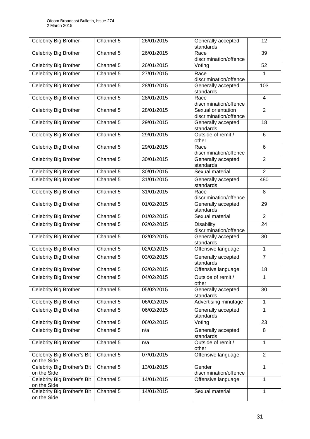| <b>Celebrity Big Brother</b>               | Channel 5 | 26/01/2015 | Generally accepted<br>standards              | 12             |
|--------------------------------------------|-----------|------------|----------------------------------------------|----------------|
| Celebrity Big Brother                      | Channel 5 | 26/01/2015 | Race<br>discrimination/offence               | 39             |
| <b>Celebrity Big Brother</b>               | Channel 5 | 26/01/2015 | Voting                                       | 52             |
| <b>Celebrity Big Brother</b>               | Channel 5 | 27/01/2015 | Race<br>discrimination/offence               | 1              |
| Celebrity Big Brother                      | Channel 5 | 28/01/2015 | Generally accepted<br>standards              | 103            |
| Celebrity Big Brother                      | Channel 5 | 28/01/2015 | Race<br>discrimination/offence               | $\overline{4}$ |
| Celebrity Big Brother                      | Channel 5 | 28/01/2015 | Sexual orientation<br>discrimination/offence | $\overline{2}$ |
| Celebrity Big Brother                      | Channel 5 | 29/01/2015 | Generally accepted<br>standards              | 18             |
| <b>Celebrity Big Brother</b>               | Channel 5 | 29/01/2015 | Outside of remit /<br>other                  | 6              |
| Celebrity Big Brother                      | Channel 5 | 29/01/2015 | Race<br>discrimination/offence               | 6              |
| Celebrity Big Brother                      | Channel 5 | 30/01/2015 | Generally accepted<br>standards              | $\overline{2}$ |
| Celebrity Big Brother                      | Channel 5 | 30/01/2015 | Sexual material                              | $\overline{2}$ |
| <b>Celebrity Big Brother</b>               | Channel 5 | 31/01/2015 | Generally accepted<br>standards              | 480            |
| Celebrity Big Brother                      | Channel 5 | 31/01/2015 | Race<br>discrimination/offence               | 8              |
| Celebrity Big Brother                      | Channel 5 | 01/02/2015 | Generally accepted<br>standards              | 29             |
| <b>Celebrity Big Brother</b>               | Channel 5 | 01/02/2015 | Sexual material                              | $\overline{2}$ |
| <b>Celebrity Big Brother</b>               | Channel 5 | 02/02/2015 | <b>Disability</b><br>discrimination/offence  | 24             |
| <b>Celebrity Big Brother</b>               | Channel 5 | 02/02/2015 | Generally accepted<br>standards              | 30             |
| Celebrity Big Brother                      | Channel 5 | 02/02/2015 | Offensive language                           | 1              |
| <b>Celebrity Big Brother</b>               | Channel 5 | 03/02/2015 | Generally accepted<br>standards              | $\overline{7}$ |
| <b>Celebrity Big Brother</b>               | Channel 5 | 03/02/2015 | Offensive language                           | 18             |
| Celebrity Big Brother                      | Channel 5 | 04/02/2015 | Outside of remit /<br>other                  | 1              |
| <b>Celebrity Big Brother</b>               | Channel 5 | 05/02/2015 | Generally accepted<br>standards              | 30             |
| Celebrity Big Brother                      | Channel 5 | 06/02/2015 | Advertising minutage                         | $\mathbf{1}$   |
| Celebrity Big Brother                      | Channel 5 | 06/02/2015 | Generally accepted<br>standards              | 1              |
| Celebrity Big Brother                      | Channel 5 | 06/02/2015 | Voting                                       | 23             |
| <b>Celebrity Big Brother</b>               | Channel 5 | n/a        | Generally accepted<br>standards              | 8              |
| Celebrity Big Brother                      | Channel 5 | n/a        | Outside of remit /<br>other                  | 1              |
| Celebrity Big Brother's Bit<br>on the Side | Channel 5 | 07/01/2015 | Offensive language                           | $\overline{2}$ |
| Celebrity Big Brother's Bit<br>on the Side | Channel 5 | 13/01/2015 | Gender<br>discrimination/offence             | 1              |
| Celebrity Big Brother's Bit<br>on the Side | Channel 5 | 14/01/2015 | Offensive language                           | 1              |
| Celebrity Big Brother's Bit<br>on the Side | Channel 5 | 14/01/2015 | Sexual material                              | 1              |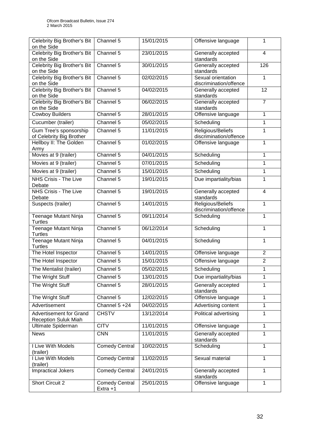| Celebrity Big Brother's Bit<br>on the Side                    | Channel 5                         | 15/01/2015 | Offensive language                           | $\mathbf{1}$   |
|---------------------------------------------------------------|-----------------------------------|------------|----------------------------------------------|----------------|
| Celebrity Big Brother's Bit<br>on the Side                    | Channel 5                         | 23/01/2015 | Generally accepted<br>standards              | $\overline{4}$ |
| Celebrity Big Brother's Bit<br>on the Side                    | Channel 5                         | 30/01/2015 | Generally accepted<br>standards              | 126            |
| Celebrity Big Brother's Bit<br>on the Side                    | Channel 5                         | 02/02/2015 | Sexual orientation<br>discrimination/offence | $\mathbf{1}$   |
| Celebrity Big Brother's Bit<br>on the Side                    | Channel 5                         | 04/02/2015 | Generally accepted<br>standards              | 12             |
| Celebrity Big Brother's Bit<br>on the Side                    | Channel 5                         | 06/02/2015 | Generally accepted<br>standards              | $\overline{7}$ |
| <b>Cowboy Builders</b>                                        | Channel 5                         | 28/01/2015 | Offensive language                           | $\mathbf{1}$   |
| Cucumber (trailer)                                            | Channel 5                         | 05/02/2015 | Scheduling                                   | 1              |
| <b>Gum Tree's sponsorship</b><br>of Celebrity Big Brother     | Channel 5                         | 11/01/2015 | Religious/Beliefs<br>discrimination/offence  | 1              |
| Hellboy II: The Golden<br>Army                                | Channel 5                         | 01/02/2015 | Offensive language                           | 1              |
| Movies at 9 (trailer)                                         | Channel 5                         | 04/01/2015 | Scheduling                                   | 1              |
| Movies at 9 (trailer)                                         | Channel 5                         | 07/01/2015 | Scheduling                                   | 1              |
| Movies at 9 (trailer)                                         | Channel 5                         | 15/01/2015 | Scheduling                                   | 1              |
| <b>NHS Crisis - The Live</b><br>Debate                        | Channel 5                         | 19/01/2015 | Due impartiality/bias                        | $\mathbf{1}$   |
| <b>NHS Crisis - The Live</b><br>Debate                        | Channel 5                         | 19/01/2015 | Generally accepted<br>standards              | $\overline{4}$ |
| Suspects (trailer)                                            | Channel 5                         | 14/01/2015 | Religious/Beliefs<br>discrimination/offence  | $\mathbf{1}$   |
| Teenage Mutant Ninja<br>Turtles                               | Channel 5                         | 09/11/2014 | Scheduling                                   | 1              |
| Teenage Mutant Ninja<br>Turtles                               | Channel 5                         | 06/12/2014 | Scheduling                                   | 1              |
| Teenage Mutant Ninja<br><b>Turtles</b>                        | Channel 5                         | 04/01/2015 | Scheduling                                   | 1              |
| The Hotel Inspector                                           | Channel 5                         | 14/01/2015 | Offensive language                           | $\overline{2}$ |
| The Hotel Inspector                                           | Channel 5                         | 15/01/2015 | Offensive language                           | $\overline{2}$ |
| The Mentalist (trailer)                                       | Channel 5                         | 05/02/2015 | Scheduling                                   | 1              |
| The Wright Stuff                                              | Channel 5                         | 13/01/2015 | Due impartiality/bias                        | 1              |
| The Wright Stuff                                              | Channel 5                         | 28/01/2015 | Generally accepted<br>standards              | 1              |
| The Wright Stuff                                              | Channel 5                         | 12/02/2015 | Offensive language                           | 1              |
| Advertisement                                                 | Channel 5 +24                     | 04/02/2015 | Advertising content                          | 1              |
| <b>Advertisement for Grand</b><br><b>Reception Suluk Miah</b> | <b>CHSTV</b>                      | 13/12/2014 | Political advertising                        | 1              |
| Ultimate Spiderman                                            | <b>CITV</b>                       | 11/01/2015 | Offensive language                           | 1              |
| <b>News</b>                                                   | <b>CNN</b>                        | 11/01/2015 | Generally accepted<br>standards              | 1              |
| I Live With Models<br>(trailer)                               | <b>Comedy Central</b>             | 10/02/2015 | Scheduling                                   | $\mathbf{1}$   |
| I Live With Models<br>(trailer)                               | <b>Comedy Central</b>             | 11/02/2015 | Sexual material                              | 1              |
| <b>Impractical Jokers</b>                                     | <b>Comedy Central</b>             | 24/01/2015 | Generally accepted<br>standards              | 1              |
| Short Circuit 2                                               | <b>Comedy Central</b><br>Extra +1 | 25/01/2015 | Offensive language                           | 1              |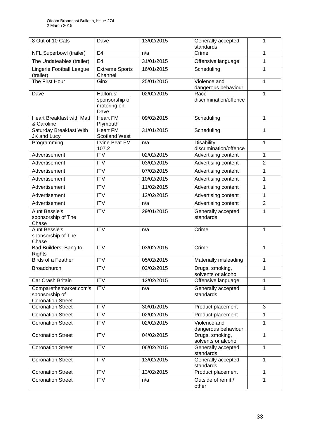| 8 Out of 10 Cats                                                     | Dave                                               | 13/02/2015 | Generally accepted<br>standards             | 1              |
|----------------------------------------------------------------------|----------------------------------------------------|------------|---------------------------------------------|----------------|
| NFL Superbowl (trailer)                                              | E <sub>4</sub>                                     | n/a        | Crime                                       | $\mathbf{1}$   |
| The Undateables (trailer)                                            | E4                                                 | 31/01/2015 | Offensive language                          | 1              |
| Lingerie Football League<br>(trailer)                                | <b>Extreme Sports</b><br>Channel                   | 16/01/2015 | Scheduling                                  | $\mathbf{1}$   |
| The First Hour                                                       | Ginx                                               | 25/01/2015 | Violence and<br>dangerous behaviour         | 1              |
| Dave                                                                 | Halfords'<br>sponsorship of<br>motoring on<br>Dave | 02/02/2015 | Race<br>discrimination/offence              | $\mathbf{1}$   |
| <b>Heart Breakfast with Matt</b><br>& Caroline                       | <b>Heart FM</b><br>Plymouth                        | 09/02/2015 | Scheduling                                  | 1              |
| Saturday Breakfast With<br>JK and Lucy                               | <b>Heart FM</b><br><b>Scotland West</b>            | 31/01/2015 | Scheduling                                  | 1              |
| Programming                                                          | <b>Irvine Beat FM</b><br>107.2                     | n/a        | <b>Disability</b><br>discrimination/offence | 1              |
| Advertisement                                                        | $\overline{\text{IV}}$                             | 02/02/2015 | Advertising content                         | $\mathbf{1}$   |
| Advertisement                                                        | <b>ITV</b>                                         | 03/02/2015 | Advertising content                         | $\overline{2}$ |
| Advertisement                                                        | <b>ITV</b>                                         | 07/02/2015 | Advertising content                         | 1              |
| Advertisement                                                        | <b>ITV</b>                                         | 10/02/2015 | Advertising content                         | 1              |
| Advertisement                                                        | <b>ITV</b>                                         | 11/02/2015 | Advertising content                         | 1              |
| Advertisement                                                        | $\overline{IV}$                                    | 12/02/2015 | Advertising content                         | 1              |
| Advertisement                                                        | $\overline{ITV}$                                   | n/a        | Advertising content                         | $\overline{2}$ |
| <b>Aunt Bessie's</b><br>sponsorship of The<br>Chase                  | <b>ITV</b>                                         | 29/01/2015 | Generally accepted<br>standards             | 1              |
| <b>Aunt Bessie's</b><br>sponsorship of The<br>Chase                  | $\overline{IV}$                                    | n/a        | Crime                                       | 1              |
| Bad Builders: Bang to<br>Rights                                      | $\overline{IV}$                                    | 03/02/2015 | Crime                                       | $\mathbf{1}$   |
| <b>Birds of a Feather</b>                                            | <b>ITV</b>                                         | 05/02/2015 | Materially misleading                       | 1              |
| <b>Broadchurch</b>                                                   | <b>ITV</b>                                         | 02/02/2015 | Drugs, smoking,<br>solvents or alcohol      | 1              |
| Car Crash Britain                                                    | <b>ITV</b>                                         | 12/02/2015 | Offensive language                          | 1              |
| Comparethemarket.com's<br>sponsorship of<br><b>Coronation Street</b> | <b>ITV</b>                                         | n/a        | Generally accepted<br>standards             | $\mathbf{1}$   |
| <b>Coronation Street</b>                                             | <b>ITV</b>                                         | 30/01/2015 | Product placement                           | 3              |
| <b>Coronation Street</b>                                             | $\overline{ITV}$                                   | 02/02/2015 | Product placement                           | 1              |
| <b>Coronation Street</b>                                             | $\overline{ITV}$                                   | 02/02/2015 | Violence and<br>dangerous behaviour         | $\mathbf{1}$   |
| <b>Coronation Street</b>                                             | <b>ITV</b>                                         | 04/02/2015 | Drugs, smoking,<br>solvents or alcohol      | 1              |
| <b>Coronation Street</b>                                             | <b>ITV</b>                                         | 06/02/2015 | Generally accepted<br>standards             | $\mathbf{1}$   |
| <b>Coronation Street</b>                                             | <b>ITV</b>                                         | 13/02/2015 | Generally accepted<br>standards             | $\mathbf{1}$   |
| <b>Coronation Street</b>                                             | <b>ITV</b>                                         | 13/02/2015 | Product placement                           | 1              |
| <b>Coronation Street</b>                                             | <b>ITV</b>                                         | n/a        | Outside of remit /<br>other                 | 1              |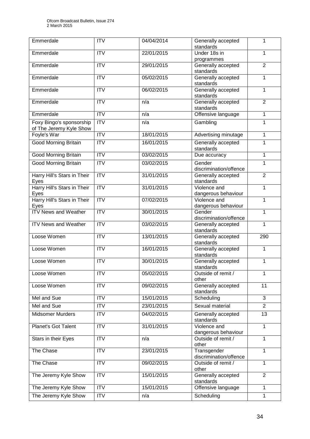| Emmerdale                                           | <b>ITV</b>             | 04/04/2014 | Generally accepted<br>standards               | 1               |
|-----------------------------------------------------|------------------------|------------|-----------------------------------------------|-----------------|
| Emmerdale                                           | $\overline{\text{IV}}$ | 22/01/2015 | Under 18s in                                  | 1               |
| Emmerdale                                           | <b>ITV</b>             | 29/01/2015 | programmes<br>Generally accepted<br>standards | $\overline{2}$  |
| Emmerdale                                           | $\overline{ITV}$       | 05/02/2015 | Generally accepted                            | $\mathbf{1}$    |
| Emmerdale                                           | <b>ITV</b>             | 06/02/2015 | standards<br>Generally accepted<br>standards  | 1               |
| Emmerdale                                           | $\overline{ITV}$       | n/a        | Generally accepted<br>standards               | $\overline{2}$  |
| Emmerdale                                           | ITV                    | n/a        | Offensive language                            | $\mathbf{1}$    |
| Foxy Bingo's sponsorship<br>of The Jeremy Kyle Show | <b>ITV</b>             | n/a        | Gambling                                      | 1               |
| Foyle's War                                         | $\overline{IV}$        | 18/01/2015 | Advertising minutage                          | $\mathbf{1}$    |
| Good Morning Britain                                | <b>ITV</b>             | 16/01/2015 | Generally accepted<br>standards               | 1               |
| <b>Good Morning Britain</b>                         | ITV                    | 03/02/2015 | Due accuracy                                  | $\mathbf{1}$    |
| <b>Good Morning Britain</b>                         | <b>ITV</b>             | 03/02/2015 | Gender<br>discrimination/offence              | 1               |
| Harry Hill's Stars in Their<br>Eyes                 | ITV                    | 31/01/2015 | Generally accepted<br>standards               | $\overline{2}$  |
| Harry Hill's Stars in Their<br>Eyes                 | $\overline{ITV}$       | 31/01/2015 | Violence and<br>dangerous behaviour           | $\mathbf{1}$    |
| Harry Hill's Stars in Their<br>Eyes                 | <b>ITV</b>             | 07/02/2015 | Violence and<br>dangerous behaviour           | $\mathbf{1}$    |
| <b>ITV News and Weather</b>                         | ITV                    | 30/01/2015 | Gender<br>discrimination/offence              | $\mathbf{1}$    |
| <b>ITV News and Weather</b>                         | $\overline{ITV}$       | 03/02/2015 | Generally accepted<br>standards               | 1               |
| Loose Women                                         | $\overline{ITV}$       | 13/01/2015 | Generally accepted<br>standards               | 290             |
| Loose Women                                         | <b>ITV</b>             | 16/01/2015 | Generally accepted<br>standards               | $\mathbf{1}$    |
| Loose Women                                         | <b>ITV</b>             | 30/01/2015 | Generally accepted<br>standards               | 1               |
| Loose Women                                         | <b>ITV</b>             | 05/02/2015 | Outside of remit /<br>other                   | 1               |
| Loose Women                                         | <b>ITV</b>             | 09/02/2015 | Generally accepted<br>standards               | 11              |
| Mel and Sue                                         | <b>ITV</b>             | 15/01/2015 | Scheduling                                    | 3               |
| Mel and Sue                                         | <b>ITV</b>             | 23/01/2015 | Sexual material                               | $\overline{2}$  |
| Midsomer Murders                                    | $\overline{IV}$        | 04/02/2015 | Generally accepted<br>standards               | $\overline{13}$ |
| <b>Planet's Got Talent</b>                          | <b>ITV</b>             | 31/01/2015 | Violence and<br>dangerous behaviour           | $\mathbf{1}$    |
| Stars in their Eyes                                 | <b>ITV</b>             | n/a        | Outside of remit /<br>other                   | 1               |
| The Chase                                           | <b>ITV</b>             | 23/01/2015 | Transgender<br>discrimination/offence         | $\mathbf{1}$    |
| The Chase                                           | <b>ITV</b>             | 09/02/2015 | Outside of remit /<br>other                   | 1               |
| The Jeremy Kyle Show                                | <b>ITV</b>             | 15/01/2015 | Generally accepted<br>standards               | $\overline{2}$  |
| The Jeremy Kyle Show                                | $\overline{IV}$        | 15/01/2015 | Offensive language                            | $\mathbf{1}$    |
| The Jeremy Kyle Show                                | <b>ITV</b>             | n/a        | Scheduling                                    | $\mathbf{1}$    |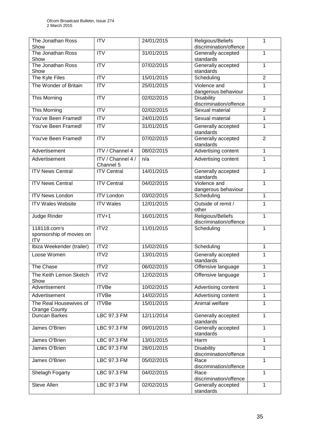| The Jonathan Ross                                      | <b>ITV</b>                     | 24/01/2015 | Religious/Beliefs                                | 1              |
|--------------------------------------------------------|--------------------------------|------------|--------------------------------------------------|----------------|
| Show<br>The Jonathan Ross                              | $\overline{ITV}$               | 31/01/2015 | discrimination/offence<br>Generally accepted     | $\mathbf{1}$   |
| Show                                                   |                                |            | standards                                        |                |
| The Jonathan Ross<br>Show                              | <b>ITV</b>                     | 07/02/2015 | Generally accepted<br>standards                  | 1              |
| The Kyle Files                                         | $\overline{IV}$                | 15/01/2015 | Scheduling                                       | $\overline{2}$ |
| The Wonder of Britain                                  | <b>ITV</b>                     | 25/01/2015 | Violence and<br>dangerous behaviour              | 1              |
| This Morning                                           | $\overline{ITV}$               | 02/02/2015 | <b>Disability</b><br>1<br>discrimination/offence |                |
| This Morning                                           | <b>ITV</b>                     | 02/02/2015 | Sexual material                                  | $\overline{2}$ |
| You've Been Framed!                                    | ITV                            | 24/01/2015 | Sexual material                                  | 1              |
| You've Been Framed!                                    | <b>ITV</b>                     | 31/01/2015 | Generally accepted<br>standards                  | 1              |
| You've Been Framed!                                    | $\overline{ITV}$               | 07/02/2015 | Generally accepted<br>standards                  | $\overline{2}$ |
| Advertisement                                          | <b>ITV</b> / Channel 4         | 08/02/2015 | Advertising content                              | $\mathbf{1}$   |
| Advertisement                                          | ITV / Channel 4 /<br>Channel 5 | n/a        | Advertising content                              | 1              |
| <b>ITV News Central</b>                                | <b>ITV Central</b>             | 14/01/2015 | Generally accepted<br>standards                  | $\mathbf{1}$   |
| <b>ITV News Central</b>                                | <b>ITV Central</b>             | 04/02/2015 | Violence and<br>dangerous behaviour              | 1              |
| <b>ITV News London</b>                                 | <b>ITV London</b>              | 03/02/2015 | Scheduling                                       | 1              |
| <b>ITV Wales Website</b>                               | <b>ITV Wales</b>               | 12/01/2015 | Outside of remit /<br>other                      | 1              |
| Judge Rinder                                           | $ITV+1$                        | 16/01/2015 | Religious/Beliefs<br>discrimination/offence      | 1              |
| 118118.com's<br>sponsorship of movies on<br><b>ITV</b> | ITV2                           | 11/01/2015 | Scheduling                                       | $\mathbf{1}$   |
| Ibiza Weekender (trailer)                              | ITV2                           | 15/02/2015 | Scheduling                                       | 1              |
| Loose Women                                            | ITV2                           | 13/01/2015 | Generally accepted<br>standards                  | 1              |
| The Chase                                              | ITV2                           | 06/02/2015 | Offensive language                               | 1              |
| The Keith Lemon Sketch<br>Show                         | ITV <sub>2</sub>               | 12/02/2015 | Offensive language                               | 1              |
| Advertisement                                          | <b>ITVBe</b>                   | 10/02/2015 | Advertising content                              | $\mathbf{1}$   |
| Advertisement                                          | <b>ITVBe</b>                   | 14/02/2015 | Advertising content                              | 1              |
| The Real Housewives of<br><b>Orange County</b>         | <b>ITVBe</b>                   | 15/01/2015 | Animal welfare                                   | $\mathbf{1}$   |
| <b>Duncan Barkes</b>                                   | LBC 97.3 FM                    | 12/11/2014 | Generally accepted<br>standards                  | 1              |
| James O'Brien                                          | LBC 97.3 FM                    | 09/01/2015 | Generally accepted<br>standards                  | $\mathbf{1}$   |
| James O'Brien                                          | <b>LBC 97.3 FM</b>             | 13/01/2015 | Harm                                             | $\mathbf{1}$   |
| James O'Brien                                          | <b>LBC 97.3 FM</b>             | 28/01/2015 | <b>Disability</b><br>discrimination/offence      | 1              |
| James O'Brien                                          | LBC 97.3 FM                    | 05/02/2015 | Race<br>discrimination/offence                   | $\mathbf{1}$   |
| Shelagh Fogarty                                        | <b>LBC 97.3 FM</b>             | 04/02/2015 | Race<br>discrimination/offence                   | 1              |
| Steve Allen                                            | LBC 97.3 FM                    | 02/02/2015 | Generally accepted<br>standards                  | $\mathbf{1}$   |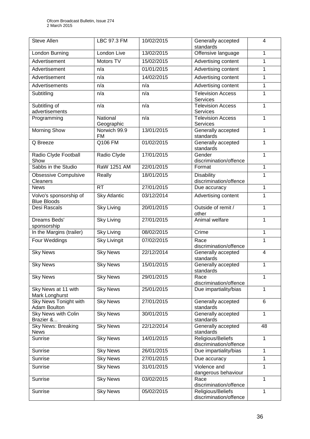| <b>Steve Allen</b>                           | <b>LBC 97.3 FM</b>     | 10/02/2015 | Generally accepted<br>standards             | $\overline{4}$ |
|----------------------------------------------|------------------------|------------|---------------------------------------------|----------------|
| London Burning                               | London Live            | 13/02/2015 | Offensive language                          | 1              |
| Advertisement                                | Motors TV              | 15/02/2015 | Advertising content                         | 1              |
| Advertisement                                | n/a                    | 01/01/2015 | Advertising content                         | 1              |
| Advertisement                                | n/a                    | 14/02/2015 | Advertising content                         | 1              |
| Advertisements                               | n/a                    | n/a        | Advertising content                         | 1              |
| Subtitling                                   | n/a                    | n/a        | <b>Television Access</b><br>Services        | 1              |
| Subtitling of<br>advertisements              | n/a                    | n/a        | <b>Television Access</b><br><b>Services</b> | $\mathbf{1}$   |
| Programming                                  | National<br>Geographic | n/a        | <b>Television Access</b><br><b>Services</b> | $\mathbf{1}$   |
| <b>Morning Show</b>                          | Norwich 99.9<br>FM     | 13/01/2015 | Generally accepted<br>standards             | 1              |
| Q Breeze                                     | Q106 FM                | 01/02/2015 | Generally accepted<br>standards             | 1              |
| Radio Clyde Football<br>Show                 | Radio Clyde            | 17/01/2015 | Gender<br>discrimination/offence            | 1              |
| Sabbs in the Studio                          | <b>RaW 1251 AM</b>     | 22/01/2015 | Format                                      | $\mathbf{1}$   |
| <b>Obsessive Compulsive</b><br>Cleaners      | Really                 | 18/01/2015 | <b>Disability</b><br>discrimination/offence | 1              |
| <b>News</b>                                  | <b>RT</b>              | 27/01/2015 | Due accuracy                                | 1              |
| Volvo's sponsorship of<br><b>Blue Bloods</b> | <b>Sky Atlantic</b>    | 03/12/2014 | Advertising content                         | 1              |
| Desi Rascals                                 | <b>Sky Living</b>      | 20/01/2015 | Outside of remit /<br>other                 | 1              |
| Dreams Beds'<br>sponsorship                  | <b>Sky Living</b>      | 27/01/2015 | Animal welfare                              | 1              |
| In the Margins (trailer)                     | <b>Sky Living</b>      | 08/02/2015 | Crime                                       | 1              |
| Four Weddings                                | <b>Sky Livingit</b>    | 07/02/2015 | Race<br>discrimination/offence              | 1              |
| <b>Sky News</b>                              | <b>Sky News</b>        | 22/12/2014 | Generally accepted<br>standards             | $\overline{4}$ |
| <b>Sky News</b>                              | Sky News               | 15/01/2015 | Generally accepted<br>standards             | 1              |
| <b>Sky News</b>                              | <b>Sky News</b>        | 29/01/2015 | Race<br>discrimination/offence              | 1              |
| Sky News at 11 with<br>Mark Longhurst        | <b>Sky News</b>        | 25/01/2015 | Due impartiality/bias                       | 1              |
| <b>Sky News Tonight with</b><br>Adam Boulton | <b>Sky News</b>        | 27/01/2015 | Generally accepted<br>standards             | 6              |
| <b>Sky News with Colin</b><br>Brazier &      | <b>Sky News</b>        | 30/01/2015 | Generally accepted<br>standards             | 1              |
| <b>Sky News: Breaking</b><br><b>News</b>     | <b>Sky News</b>        | 22/12/2014 | Generally accepted<br>standards             | 48             |
| Sunrise                                      | <b>Sky News</b>        | 14/01/2015 | Religious/Beliefs<br>discrimination/offence | $\mathbf{1}$   |
| Sunrise                                      | <b>Sky News</b>        | 26/01/2015 | Due impartiality/bias<br>1                  |                |
| Sunrise                                      | <b>Sky News</b>        | 27/01/2015 | 1<br>Due accuracy                           |                |
| Sunrise                                      | <b>Sky News</b>        | 31/01/2015 | Violence and<br>dangerous behaviour         | 1              |
| Sunrise                                      | <b>Sky News</b>        | 03/02/2015 | Race<br>discrimination/offence              | $\mathbf{1}$   |
| Sunrise                                      | <b>Sky News</b>        | 05/02/2015 | Religious/Beliefs<br>discrimination/offence | 1              |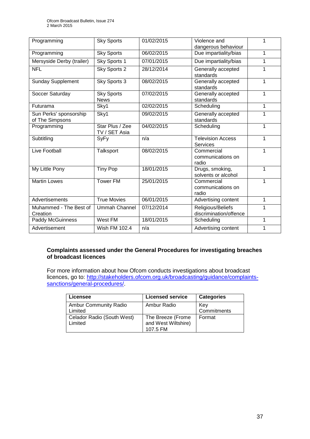| Programming                               | <b>Sky Sports</b>                | 01/02/2015 | Violence and                                | 1 |
|-------------------------------------------|----------------------------------|------------|---------------------------------------------|---|
|                                           |                                  |            | dangerous behaviour                         |   |
| Programming                               | <b>Sky Sports</b>                | 06/02/2015 | Due impartiality/bias                       | 1 |
| Mersyside Derby (trailer)                 | Sky Sports 1                     | 07/01/2015 | Due impartiality/bias                       | 1 |
| <b>NFL</b>                                | Sky Sports 2                     | 28/12/2014 | Generally accepted<br>standards             | 1 |
| <b>Sunday Supplement</b>                  | Sky Sports 3                     | 08/02/2015 | Generally accepted<br>standards             | 1 |
| Soccer Saturday                           | <b>Sky Sports</b><br><b>News</b> | 07/02/2015 | Generally accepted<br>standards             | 1 |
| <b>Futurama</b>                           | Sky1                             | 02/02/2015 | Scheduling                                  | 1 |
| Sun Perks' sponsorship<br>of The Simpsons | Sky1                             | 09/02/2015 | Generally accepted<br>standards             | 1 |
| Programming                               | Star Plus / Zee<br>TV / SET Asia | 04/02/2015 | Scheduling                                  | 1 |
| Subtitling                                | <b>SyFy</b>                      | n/a        | <b>Television Access</b><br><b>Services</b> | 1 |
| Live Football                             | Talksport                        | 08/02/2015 | Commercial<br>communications on<br>radio    | 1 |
| My Little Pony                            | <b>Tiny Pop</b>                  | 18/01/2015 | Drugs, smoking,<br>solvents or alcohol      | 1 |
| <b>Martin Lowes</b>                       | <b>Tower FM</b>                  | 25/01/2015 | Commercial<br>communications on<br>radio    | 1 |
| Advertisements                            | <b>True Movies</b>               | 06/01/2015 | Advertising content                         | 1 |
| Muhammed - The Best of<br>Creation        | <b>Ummah Channel</b>             | 07/12/2014 | Religious/Beliefs<br>discrimination/offence | 1 |
| <b>Paddy McGuinness</b>                   | West FM                          | 18/01/2015 | Scheduling                                  | 1 |
| Advertisement                             | Wish FM 102.4                    | n/a        | Advertising content                         | 1 |

### **Complaints assessed under the General Procedures for investigating breaches of broadcast licences**

For more information about how Ofcom conducts investigations about broadcast licences, go to: [http://stakeholders.ofcom.org.uk/broadcasting/guidance/complaints](http://stakeholders.ofcom.org.uk/broadcasting/guidance/complaints-sanctions/general-procedures/)[sanctions/general-procedures/.](http://stakeholders.ofcom.org.uk/broadcasting/guidance/complaints-sanctions/general-procedures/)

| Licensee                                | <b>Licensed service</b>                              | <b>Categories</b>  |
|-----------------------------------------|------------------------------------------------------|--------------------|
| <b>Ambur Community Radio</b><br>Limited | Ambur Radio                                          | Kev<br>Commitments |
| Celador Radio (South West)<br>Limited   | The Breeze (Frome<br>and West Wiltshire)<br>107.5 FM | Format             |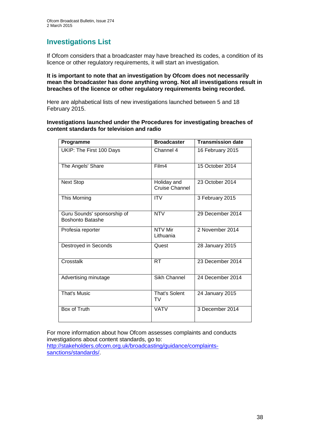# **Investigations List**

If Ofcom considers that a broadcaster may have breached its codes, a condition of its licence or other regulatory requirements, it will start an investigation.

### **It is important to note that an investigation by Ofcom does not necessarily mean the broadcaster has done anything wrong. Not all investigations result in breaches of the licence or other regulatory requirements being recorded.**

Here are alphabetical lists of new investigations launched between 5 and 18 February 2015.

### **Investigations launched under the Procedures for investigating breaches of content standards for television and radio**

| Programme                                              | <b>Broadcaster</b>            | <b>Transmission date</b> |
|--------------------------------------------------------|-------------------------------|--------------------------|
| UKIP: The First 100 Days                               | Channel 4                     | 16 February 2015         |
| The Angels' Share                                      | Film4                         | 15 October 2014          |
| <b>Next Stop</b>                                       | Holiday and<br>Cruise Channel | 23 October 2014          |
| This Morning                                           | <b>ITV</b>                    | 3 February 2015          |
| Guru Sounds' sponsorship of<br><b>Boshonto Batashe</b> | <b>NTV</b>                    | 29 December 2014         |
| Profesia reporter                                      | NTV Mir<br>Lithuania          | 2 November 2014          |
| Destroyed in Seconds                                   | Quest                         | 28 January 2015          |
| Crosstalk                                              | <b>RT</b>                     | 23 December 2014         |
| Advertising minutage                                   | Sikh Channel                  | 24 December 2014         |
| <b>That's Music</b>                                    | <b>That's Solent</b><br>TV    | 24 January 2015          |
| Box of Truth                                           | <b>VATV</b>                   | 3 December 2014          |

For more information about how Ofcom assesses complaints and conducts investigations about content standards, go to: [http://stakeholders.ofcom.org.uk/broadcasting/guidance/complaints](http://stakeholders.ofcom.org.uk/broadcasting/guidance/complaints-sanctions/standards/)[sanctions/standards/.](http://stakeholders.ofcom.org.uk/broadcasting/guidance/complaints-sanctions/standards/)